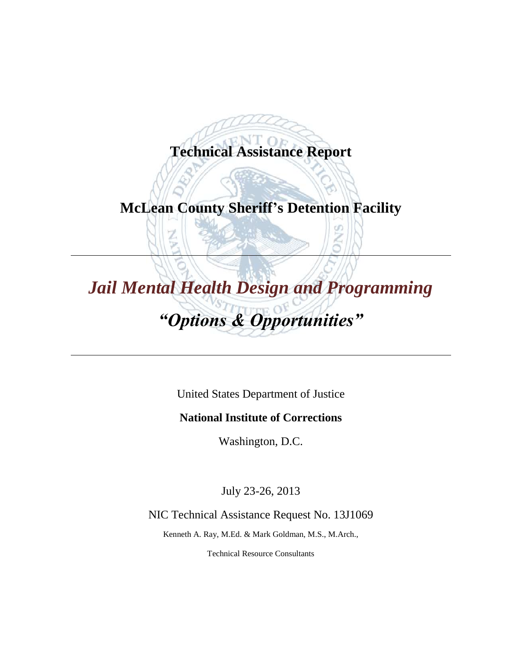# **Technical Assistance Report**

# **McLean County Sheriff's Detention Facility**

# *Jail Mental Health Design and Programming "Options & Opportunities"*

United States Department of Justice

# **National Institute of Corrections**

Washington, D.C.

July 23-26, 2013

NIC Technical Assistance Request No. 13J1069

Kenneth A. Ray, M.Ed. & Mark Goldman, M.S., M.Arch.,

Technical Resource Consultants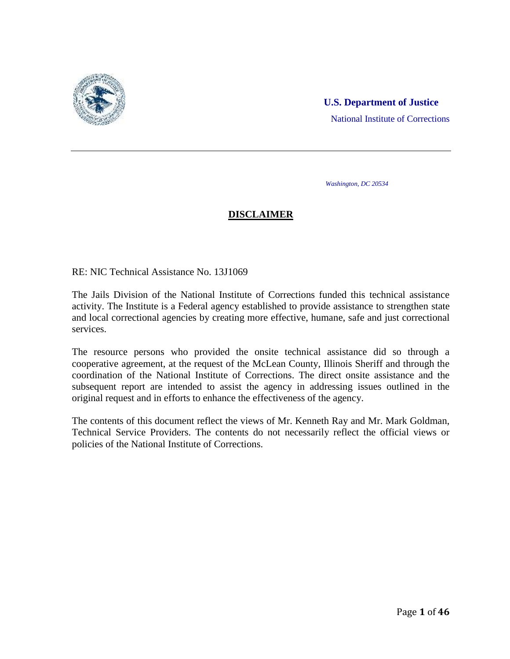

# **U.S. Department of Justice**

National Institute of Corrections

*Washington, DC 20534*

#### **DISCLAIMER**

RE: NIC Technical Assistance No. 13J1069

The Jails Division of the National Institute of Corrections funded this technical assistance activity. The Institute is a Federal agency established to provide assistance to strengthen state and local correctional agencies by creating more effective, humane, safe and just correctional services.

The resource persons who provided the onsite technical assistance did so through a cooperative agreement, at the request of the McLean County, Illinois Sheriff and through the coordination of the National Institute of Corrections. The direct onsite assistance and the subsequent report are intended to assist the agency in addressing issues outlined in the original request and in efforts to enhance the effectiveness of the agency.

The contents of this document reflect the views of Mr. Kenneth Ray and Mr. Mark Goldman, Technical Service Providers. The contents do not necessarily reflect the official views or policies of the National Institute of Corrections.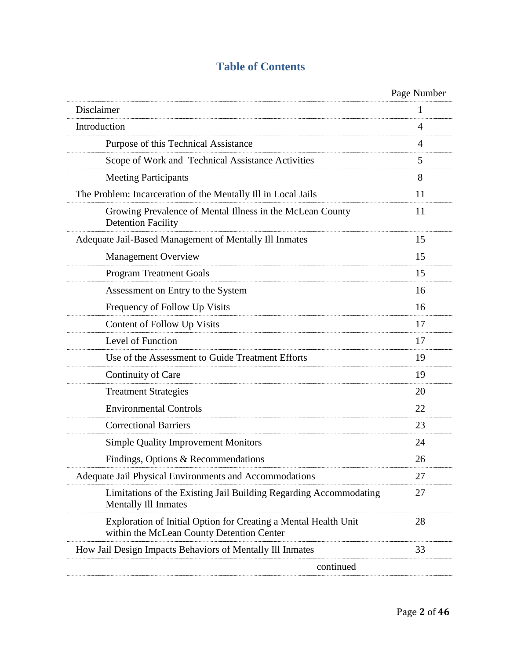|  | <b>Table of Contents</b> |
|--|--------------------------|
|--|--------------------------|

|                                                                                                              | Page Number    |
|--------------------------------------------------------------------------------------------------------------|----------------|
| Disclaimer                                                                                                   | 1              |
| Introduction                                                                                                 | $\overline{4}$ |
| Purpose of this Technical Assistance                                                                         | 4              |
| Scope of Work and Technical Assistance Activities                                                            | 5              |
| <b>Meeting Participants</b>                                                                                  | 8              |
| The Problem: Incarceration of the Mentally Ill in Local Jails                                                | 11             |
| Growing Prevalence of Mental Illness in the McLean County<br><b>Detention Facility</b>                       | 11             |
| Adequate Jail-Based Management of Mentally Ill Inmates                                                       | 15             |
| <b>Management Overview</b>                                                                                   | 15             |
| <b>Program Treatment Goals</b>                                                                               | 15             |
| Assessment on Entry to the System                                                                            | 16             |
| Frequency of Follow Up Visits                                                                                | 16             |
| Content of Follow Up Visits                                                                                  | 17             |
| Level of Function                                                                                            | 17             |
| Use of the Assessment to Guide Treatment Efforts                                                             | 19             |
| Continuity of Care                                                                                           | 19             |
| <b>Treatment Strategies</b>                                                                                  | 20             |
| <b>Environmental Controls</b>                                                                                | 22             |
| <b>Correctional Barriers</b>                                                                                 | 23             |
| <b>Simple Quality Improvement Monitors</b>                                                                   | 24             |
| Findings, Options & Recommendations                                                                          | 26             |
| Adequate Jail Physical Environments and Accommodations                                                       | 27             |
| Limitations of the Existing Jail Building Regarding Accommodating<br><b>Mentally Ill Inmates</b>             | 27             |
| Exploration of Initial Option for Creating a Mental Health Unit<br>within the McLean County Detention Center | 28             |
| How Jail Design Impacts Behaviors of Mentally Ill Inmates                                                    | 33             |
| continued                                                                                                    |                |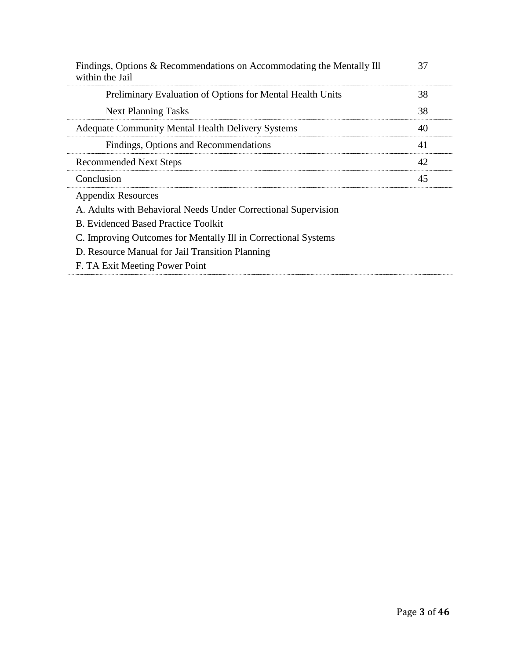| Findings, Options & Recommendations on Accommodating the Mentally Ill<br>within the Jail | 37 |
|------------------------------------------------------------------------------------------|----|
| Preliminary Evaluation of Options for Mental Health Units                                | 38 |
| <b>Next Planning Tasks</b>                                                               | 38 |
| <b>Adequate Community Mental Health Delivery Systems</b>                                 | 40 |
| Findings, Options and Recommendations                                                    | 41 |
| <b>Recommended Next Steps</b>                                                            | 42 |
| Conclusion                                                                               | 45 |
| Appendix Resources                                                                       |    |
| A. Adults with Behavioral Needs Under Correctional Supervision                           |    |
| <b>B.</b> Evidenced Based Practice Toolkit                                               |    |
| C. Improving Outcomes for Mentally Ill in Correctional Systems                           |    |
| D. Resource Manual for Jail Transition Planning                                          |    |
| F. TA Exit Meeting Power Point                                                           |    |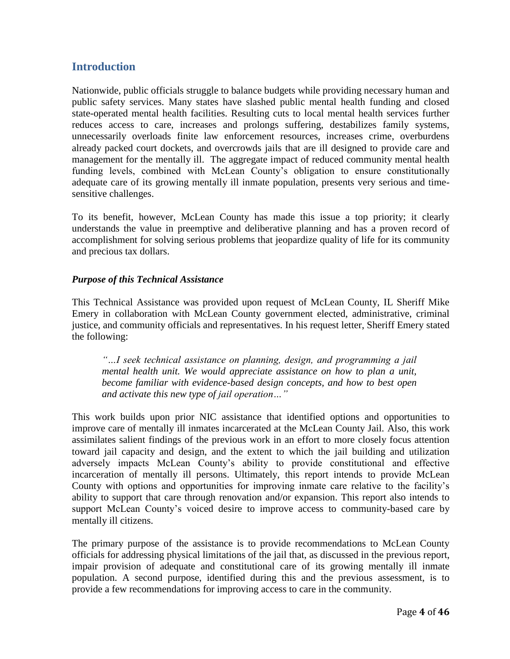### **Introduction**

Nationwide, public officials struggle to balance budgets while providing necessary human and public safety services. Many states have slashed public mental health funding and closed state-operated mental health facilities. Resulting cuts to local mental health services further reduces access to care, increases and prolongs suffering, destabilizes family systems, unnecessarily overloads finite law enforcement resources, increases crime, overburdens already packed court dockets, and overcrowds jails that are ill designed to provide care and management for the mentally ill. The aggregate impact of reduced community mental health funding levels, combined with McLean County's obligation to ensure constitutionally adequate care of its growing mentally ill inmate population, presents very serious and timesensitive challenges.

To its benefit, however, McLean County has made this issue a top priority; it clearly understands the value in preemptive and deliberative planning and has a proven record of accomplishment for solving serious problems that jeopardize quality of life for its community and precious tax dollars.

#### *Purpose of this Technical Assistance*

This Technical Assistance was provided upon request of McLean County, IL Sheriff Mike Emery in collaboration with McLean County government elected, administrative, criminal justice, and community officials and representatives. In his request letter, Sheriff Emery stated the following:

*"…I seek technical assistance on planning, design, and programming a jail mental health unit. We would appreciate assistance on how to plan a unit, become familiar with evidence-based design concepts, and how to best open and activate this new type of jail operation…"*

This work builds upon prior NIC assistance that identified options and opportunities to improve care of mentally ill inmates incarcerated at the McLean County Jail. Also, this work assimilates salient findings of the previous work in an effort to more closely focus attention toward jail capacity and design, and the extent to which the jail building and utilization adversely impacts McLean County's ability to provide constitutional and effective incarceration of mentally ill persons. Ultimately, this report intends to provide McLean County with options and opportunities for improving inmate care relative to the facility's ability to support that care through renovation and/or expansion. This report also intends to support McLean County's voiced desire to improve access to community-based care by mentally ill citizens.

The primary purpose of the assistance is to provide recommendations to McLean County officials for addressing physical limitations of the jail that, as discussed in the previous report, impair provision of adequate and constitutional care of its growing mentally ill inmate population. A second purpose, identified during this and the previous assessment, is to provide a few recommendations for improving access to care in the community.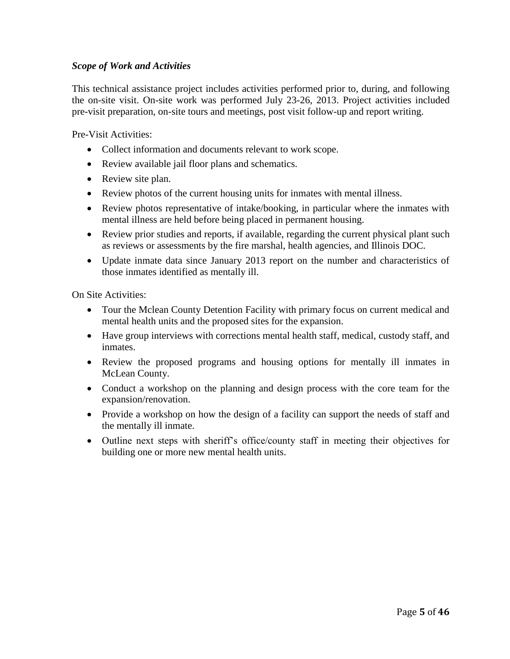#### *Scope of Work and Activities*

This technical assistance project includes activities performed prior to, during, and following the on-site visit. On-site work was performed July 23-26, 2013. Project activities included pre-visit preparation, on-site tours and meetings, post visit follow-up and report writing.

Pre-Visit Activities:

- Collect information and documents relevant to work scope.
- Review available jail floor plans and schematics.
- Review site plan.
- Review photos of the current housing units for inmates with mental illness.
- Review photos representative of intake/booking, in particular where the inmates with mental illness are held before being placed in permanent housing.
- Review prior studies and reports, if available, regarding the current physical plant such as reviews or assessments by the fire marshal, health agencies, and Illinois DOC.
- Update inmate data since January 2013 report on the number and characteristics of those inmates identified as mentally ill.

On Site Activities:

- Tour the Mclean County Detention Facility with primary focus on current medical and mental health units and the proposed sites for the expansion.
- Have group interviews with corrections mental health staff, medical, custody staff, and inmates.
- Review the proposed programs and housing options for mentally ill inmates in McLean County.
- Conduct a workshop on the planning and design process with the core team for the expansion/renovation.
- Provide a workshop on how the design of a facility can support the needs of staff and the mentally ill inmate.
- Outline next steps with sheriff's office/county staff in meeting their objectives for building one or more new mental health units.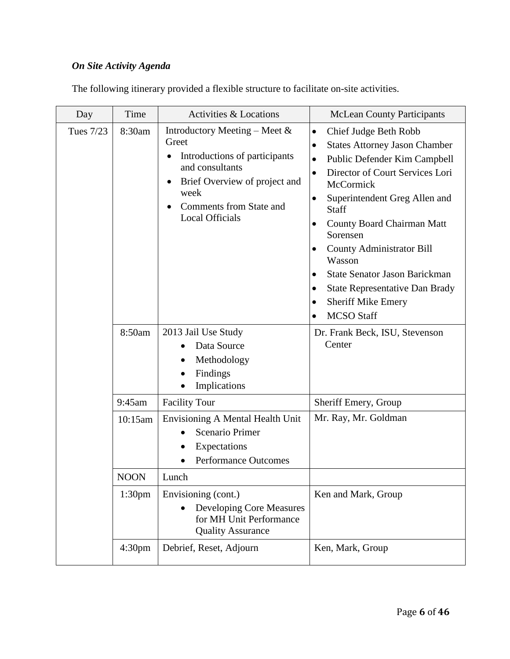# *On Site Activity Agenda*

| Day       | Time               | <b>Activities &amp; Locations</b>                                                                                                                                                                      | <b>McLean County Participants</b>                                                                                                                                                                                                                                                                                                                                                                                                                         |  |  |
|-----------|--------------------|--------------------------------------------------------------------------------------------------------------------------------------------------------------------------------------------------------|-----------------------------------------------------------------------------------------------------------------------------------------------------------------------------------------------------------------------------------------------------------------------------------------------------------------------------------------------------------------------------------------------------------------------------------------------------------|--|--|
| Tues 7/23 | 8:30am             | Introductory Meeting – Meet $&$<br>Greet<br>Introductions of participants<br>and consultants<br>Brief Overview of project and<br>٠<br>week<br><b>Comments from State and</b><br><b>Local Officials</b> | Chief Judge Beth Robb<br>$\bullet$<br><b>States Attorney Jason Chamber</b><br>$\bullet$<br>Public Defender Kim Campbell<br>Director of Court Services Lori<br>McCormick<br>Superintendent Greg Allen and<br>Staff<br><b>County Board Chairman Matt</b><br>Sorensen<br>County Administrator Bill<br>Wasson<br><b>State Senator Jason Barickman</b><br><b>State Representative Dan Brady</b><br><b>Sheriff Mike Emery</b><br><b>MCSO Staff</b><br>$\bullet$ |  |  |
|           | 8:50am             | 2013 Jail Use Study<br>Data Source<br>Methodology<br>Findings<br>Implications                                                                                                                          | Dr. Frank Beck, ISU, Stevenson<br>Center                                                                                                                                                                                                                                                                                                                                                                                                                  |  |  |
|           | 9:45am             | <b>Facility Tour</b>                                                                                                                                                                                   | Sheriff Emery, Group                                                                                                                                                                                                                                                                                                                                                                                                                                      |  |  |
|           | 10:15am            | Envisioning A Mental Health Unit<br><b>Scenario Primer</b><br>Expectations<br><b>Performance Outcomes</b>                                                                                              | Mr. Ray, Mr. Goldman                                                                                                                                                                                                                                                                                                                                                                                                                                      |  |  |
|           | <b>NOON</b>        | Lunch                                                                                                                                                                                                  |                                                                                                                                                                                                                                                                                                                                                                                                                                                           |  |  |
|           | 1:30 <sub>pm</sub> | Envisioning (cont.)<br><b>Developing Core Measures</b><br>for MH Unit Performance<br><b>Quality Assurance</b>                                                                                          | Ken and Mark, Group                                                                                                                                                                                                                                                                                                                                                                                                                                       |  |  |
|           | 4:30 <sub>pm</sub> | Debrief, Reset, Adjourn                                                                                                                                                                                | Ken, Mark, Group                                                                                                                                                                                                                                                                                                                                                                                                                                          |  |  |

The following itinerary provided a flexible structure to facilitate on-site activities.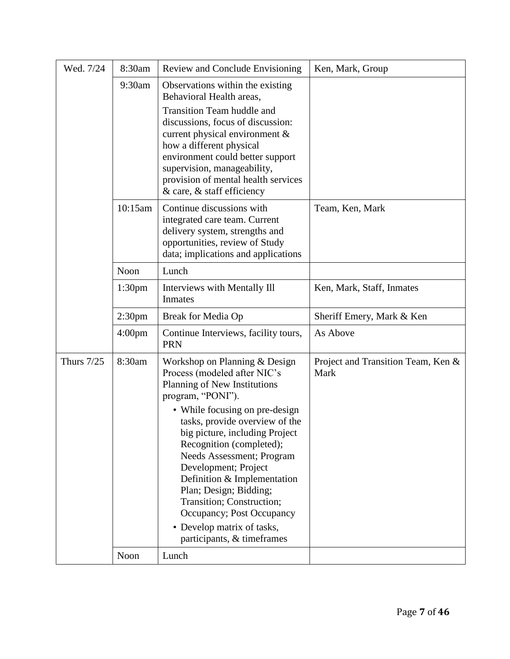| Wed. 7/24         | 8:30am             | Review and Conclude Envisioning                                                                                                                                                                                                                                                                                                                                                                                                                                                                  | Ken, Mark, Group                           |
|-------------------|--------------------|--------------------------------------------------------------------------------------------------------------------------------------------------------------------------------------------------------------------------------------------------------------------------------------------------------------------------------------------------------------------------------------------------------------------------------------------------------------------------------------------------|--------------------------------------------|
|                   | 9:30am             | Observations within the existing<br>Behavioral Health areas,                                                                                                                                                                                                                                                                                                                                                                                                                                     |                                            |
|                   |                    | <b>Transition Team huddle and</b><br>discussions, focus of discussion:<br>current physical environment &<br>how a different physical<br>environment could better support<br>supervision, manageability,<br>provision of mental health services<br>& care, & staff efficiency                                                                                                                                                                                                                     |                                            |
|                   | 10:15am            | Continue discussions with<br>integrated care team. Current<br>delivery system, strengths and<br>opportunities, review of Study<br>data; implications and applications                                                                                                                                                                                                                                                                                                                            | Team, Ken, Mark                            |
|                   | Noon               | Lunch                                                                                                                                                                                                                                                                                                                                                                                                                                                                                            |                                            |
|                   | 1:30 <sub>pm</sub> | Interviews with Mentally Ill<br><b>Inmates</b>                                                                                                                                                                                                                                                                                                                                                                                                                                                   | Ken, Mark, Staff, Inmates                  |
|                   | 2:30 <sub>pm</sub> | Break for Media Op                                                                                                                                                                                                                                                                                                                                                                                                                                                                               | Sheriff Emery, Mark & Ken                  |
|                   | 4:00 <sub>pm</sub> | Continue Interviews, facility tours,<br><b>PRN</b>                                                                                                                                                                                                                                                                                                                                                                                                                                               | As Above                                   |
| <b>Thurs 7/25</b> | 8:30am             | Workshop on Planning & Design<br>Process (modeled after NIC's<br>Planning of New Institutions<br>program, "PONI").<br>• While focusing on pre-design<br>tasks, provide overview of the<br>big picture, including Project<br>Recognition (completed);<br>Needs Assessment; Program<br>Development; Project<br>Definition & Implementation<br>Plan; Design; Bidding;<br>Transition; Construction;<br><b>Occupancy</b> ; Post Occupancy<br>• Develop matrix of tasks,<br>participants, & timeframes | Project and Transition Team, Ken &<br>Mark |
|                   | Noon               | Lunch                                                                                                                                                                                                                                                                                                                                                                                                                                                                                            |                                            |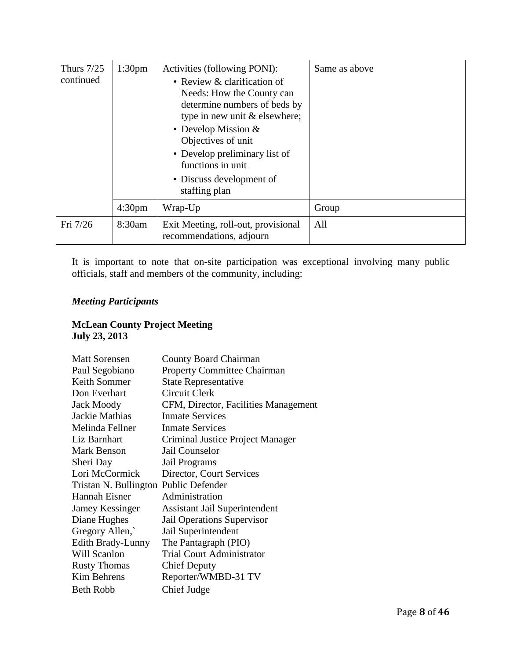| Thurs $7/25$<br>continued | 1:30 <sub>pm</sub> | Activities (following PONI):<br>• Review & clarification of<br>Needs: How the County can<br>determine numbers of beds by<br>type in new unit & elsewhere;<br>• Develop Mission $&$<br>Objectives of unit<br>• Develop preliminary list of<br>functions in unit<br>• Discuss development of<br>staffing plan | Same as above |
|---------------------------|--------------------|-------------------------------------------------------------------------------------------------------------------------------------------------------------------------------------------------------------------------------------------------------------------------------------------------------------|---------------|
|                           | 4:30 <sub>pm</sub> | Wrap-Up                                                                                                                                                                                                                                                                                                     | Group         |
| Fri 7/26                  | 8:30am             | Exit Meeting, roll-out, provisional<br>recommendations, adjourn                                                                                                                                                                                                                                             | All           |

It is important to note that on-site participation was exceptional involving many public officials, staff and members of the community, including:

#### *Meeting Participants*

#### **McLean County Project Meeting July 23, 2013**

| <b>Matt Sorensen</b>                  | <b>County Board Chairman</b>         |
|---------------------------------------|--------------------------------------|
| Paul Segobiano                        | <b>Property Committee Chairman</b>   |
| Keith Sommer                          | <b>State Representative</b>          |
| Don Everhart                          | Circuit Clerk                        |
| <b>Jack Moody</b>                     | CFM, Director, Facilities Management |
| Jackie Mathias                        | <b>Inmate Services</b>               |
| Melinda Fellner                       | <b>Inmate Services</b>               |
| Liz Barnhart                          | Criminal Justice Project Manager     |
| Mark Benson                           | Jail Counselor                       |
| Sheri Day                             | Jail Programs                        |
| Lori McCormick                        | Director, Court Services             |
| Tristan N. Bullington Public Defender |                                      |
| <b>Hannah Eisner</b>                  | Administration                       |
| <b>Jamey Kessinger</b>                | <b>Assistant Jail Superintendent</b> |
| Diane Hughes                          | Jail Operations Supervisor           |
| Gregory Allen,                        | Jail Superintendent                  |
| Edith Brady-Lunny                     | The Pantagraph (PIO)                 |
| Will Scanlon                          | <b>Trial Court Administrator</b>     |
| <b>Rusty Thomas</b>                   | <b>Chief Deputy</b>                  |
| Kim Behrens                           | Reporter/WMBD-31 TV                  |
| <b>Beth Robb</b>                      | Chief Judge                          |
|                                       |                                      |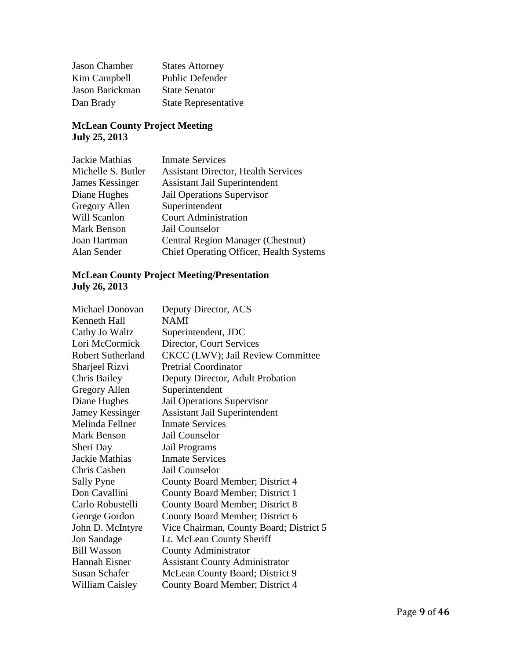| <b>Jason Chamber</b> | <b>States Attorney</b>      |
|----------------------|-----------------------------|
| Kim Campbell         | <b>Public Defender</b>      |
| Jason Barickman      | <b>State Senator</b>        |
| Dan Brady            | <b>State Representative</b> |

#### **McLean County Project Meeting July 25, 2013**

| Jackie Mathias     | <b>Inmate Services</b>                     |
|--------------------|--------------------------------------------|
| Michelle S. Butler | <b>Assistant Director, Health Services</b> |
| James Kessinger    | <b>Assistant Jail Superintendent</b>       |
| Diane Hughes       | Jail Operations Supervisor                 |
| Gregory Allen      | Superintendent                             |
| Will Scanlon       | <b>Court Administration</b>                |
| Mark Benson        | Jail Counselor                             |
| Joan Hartman       | Central Region Manager (Chestnut)          |
| Alan Sender        | Chief Operating Officer, Health Systems    |
|                    |                                            |

#### **McLean County Project Meeting/Presentation July 26, 2013**

| Michael Donovan          | Deputy Director, ACS                    |
|--------------------------|-----------------------------------------|
| Kenneth Hall             | <b>NAMI</b>                             |
| Cathy Jo Waltz           | Superintendent, JDC                     |
| Lori McCormick           | Director, Court Services                |
| <b>Robert Sutherland</b> | CKCC (LWV); Jail Review Committee       |
| Sharjeel Rizvi           | <b>Pretrial Coordinator</b>             |
| Chris Bailey             | Deputy Director, Adult Probation        |
| Gregory Allen            | Superintendent                          |
| Diane Hughes             | <b>Jail Operations Supervisor</b>       |
| <b>Jamey Kessinger</b>   | <b>Assistant Jail Superintendent</b>    |
| Melinda Fellner          | <b>Inmate Services</b>                  |
| <b>Mark Benson</b>       | Jail Counselor                          |
| Sheri Day                | Jail Programs                           |
| Jackie Mathias           | <b>Inmate Services</b>                  |
| Chris Cashen             | Jail Counselor                          |
| <b>Sally Pyne</b>        | County Board Member; District 4         |
| Don Cavallini            | County Board Member; District 1         |
| Carlo Robustelli         | County Board Member; District 8         |
| George Gordon            | County Board Member; District 6         |
| John D. McIntyre         | Vice Chairman, County Board; District 5 |
| Jon Sandage              | Lt. McLean County Sheriff               |
| <b>Bill Wasson</b>       | <b>County Administrator</b>             |
| Hannah Eisner            | <b>Assistant County Administrator</b>   |
| Susan Schafer            | McLean County Board; District 9         |
| William Caisley          | County Board Member; District 4         |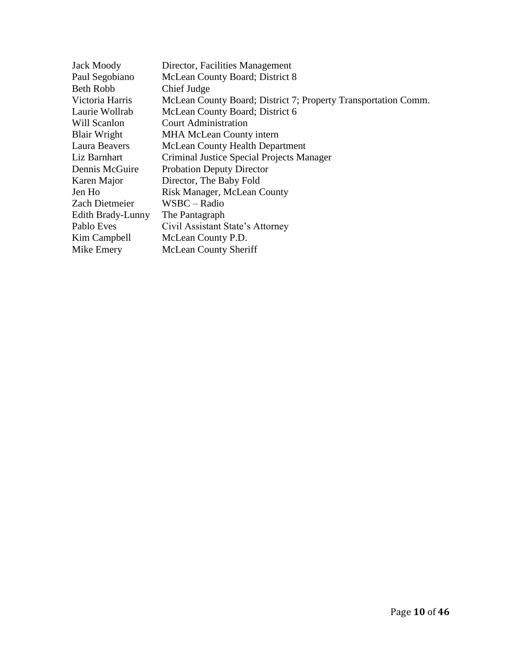| <b>Jack Moody</b>   | Director, Facilities Management                                |
|---------------------|----------------------------------------------------------------|
| Paul Segobiano      | McLean County Board; District 8                                |
| <b>Beth Robb</b>    | Chief Judge                                                    |
| Victoria Harris     | McLean County Board; District 7; Property Transportation Comm. |
| Laurie Wollrab      | McLean County Board; District 6                                |
| Will Scanlon        | <b>Court Administration</b>                                    |
| <b>Blair Wright</b> | <b>MHA McLean County intern</b>                                |
| Laura Beavers       | McLean County Health Department                                |
| Liz Barnhart        | Criminal Justice Special Projects Manager                      |
| Dennis McGuire      | <b>Probation Deputy Director</b>                               |
| Karen Major         | Director, The Baby Fold                                        |
| Jen Ho              | <b>Risk Manager, McLean County</b>                             |
| Zach Dietmeier      | WSBC – Radio                                                   |
| Edith Brady-Lunny   | The Pantagraph                                                 |
| Pablo Eves          | Civil Assistant State's Attorney                               |
| Kim Campbell        | McLean County P.D.                                             |
| Mike Emery          | McLean County Sheriff                                          |
|                     |                                                                |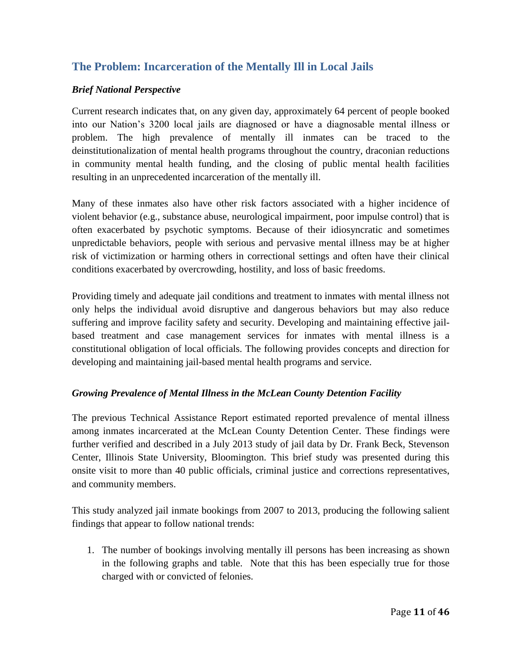# **The Problem: Incarceration of the Mentally Ill in Local Jails**

#### *Brief National Perspective*

Current research indicates that, on any given day, approximately 64 percent of people booked into our Nation's 3200 local jails are diagnosed or have a diagnosable mental illness or problem. The high prevalence of mentally ill inmates can be traced to the deinstitutionalization of mental health programs throughout the country, draconian reductions in community mental health funding, and the closing of public mental health facilities resulting in an unprecedented incarceration of the mentally ill.

Many of these inmates also have other risk factors associated with a higher incidence of violent behavior (e.g., substance abuse, neurological impairment, poor impulse control) that is often exacerbated by psychotic symptoms. Because of their idiosyncratic and sometimes unpredictable behaviors, people with serious and pervasive mental illness may be at higher risk of victimization or harming others in correctional settings and often have their clinical conditions exacerbated by overcrowding, hostility, and loss of basic freedoms.

Providing timely and adequate jail conditions and treatment to inmates with mental illness not only helps the individual avoid disruptive and dangerous behaviors but may also reduce suffering and improve facility safety and security. Developing and maintaining effective jailbased treatment and case management services for inmates with mental illness is a constitutional obligation of local officials. The following provides concepts and direction for developing and maintaining jail-based mental health programs and service.

#### *Growing Prevalence of Mental Illness in the McLean County Detention Facility*

The previous Technical Assistance Report estimated reported prevalence of mental illness among inmates incarcerated at the McLean County Detention Center. These findings were further verified and described in a July 2013 study of jail data by Dr. Frank Beck, Stevenson Center, Illinois State University, Bloomington. This brief study was presented during this onsite visit to more than 40 public officials, criminal justice and corrections representatives, and community members.

This study analyzed jail inmate bookings from 2007 to 2013, producing the following salient findings that appear to follow national trends:

1. The number of bookings involving mentally ill persons has been increasing as shown in the following graphs and table. Note that this has been especially true for those charged with or convicted of felonies.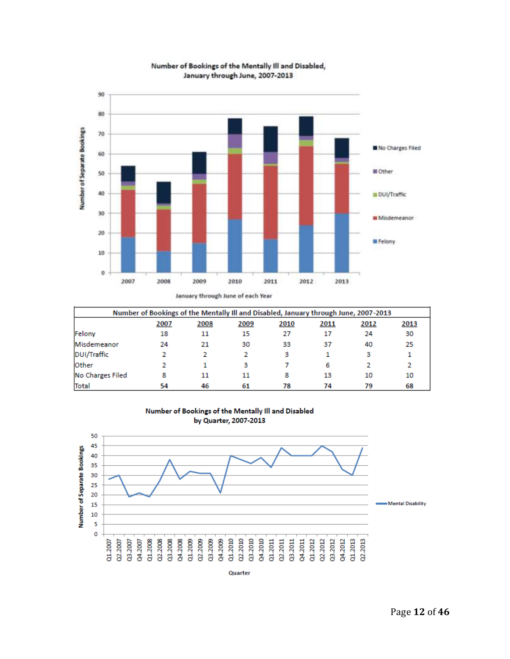

#### Number of Bookings of the Mentally Ill and Disabled, January through June, 2007-2013

| Number of Bookings of the Mentally Ill and Disabled, January through June, 2007-2013 |      |      |      |      |      |      |              |
|--------------------------------------------------------------------------------------|------|------|------|------|------|------|--------------|
|                                                                                      | 2007 | 2008 | 2009 | 2010 | 2011 | 2012 | <u> 2013</u> |
| Felony                                                                               | 18   | 11   | 15   | 27   | 17   | 24   | 30           |
| Misdemeanor                                                                          | 24   | 21   | 30   | 33   | 37   | 40   | 25           |
| <b>DUI/Traffic</b>                                                                   |      |      | 2    | 3    |      |      |              |
| Other                                                                                |      |      | з    |      | 6    |      | 2            |
| No Charges Filed                                                                     | 8    | 11   | 11   | 8    | 13   | 10   | 10           |
| <b>Total</b>                                                                         | 54   | 46   | 61   | 78   | 74   | 79   | 68           |





Quarter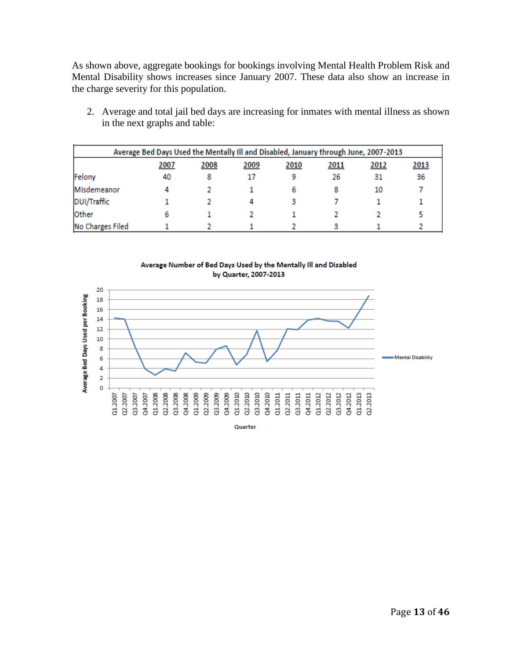As shown above, aggregate bookings for bookings involving Mental Health Problem Risk and Mental Disability shows increases since January 2007. These data also show an increase in the charge severity for this population.

2. Average and total jail bed days are increasing for inmates with mental illness as shown in the next graphs and table:

| Average Bed Days Used the Mentally Ill and Disabled, January through June, 2007-2013 |      |      |      |      |      |               |              |  |  |  |  |  |
|--------------------------------------------------------------------------------------|------|------|------|------|------|---------------|--------------|--|--|--|--|--|
|                                                                                      | 2007 | 2008 | 2009 | 2010 | 2011 | <u> 2012 </u> | <u> 2013</u> |  |  |  |  |  |
| Felony                                                                               | 40   |      | 17   | 9    | 26   | 31            | 36           |  |  |  |  |  |
| Misdemeanor                                                                          |      |      |      | 6    |      | 10            |              |  |  |  |  |  |
| DUI/Traffic                                                                          |      |      |      |      |      |               |              |  |  |  |  |  |
| Other                                                                                |      |      |      |      |      |               |              |  |  |  |  |  |
| No Charges Filed                                                                     |      |      |      |      |      |               |              |  |  |  |  |  |



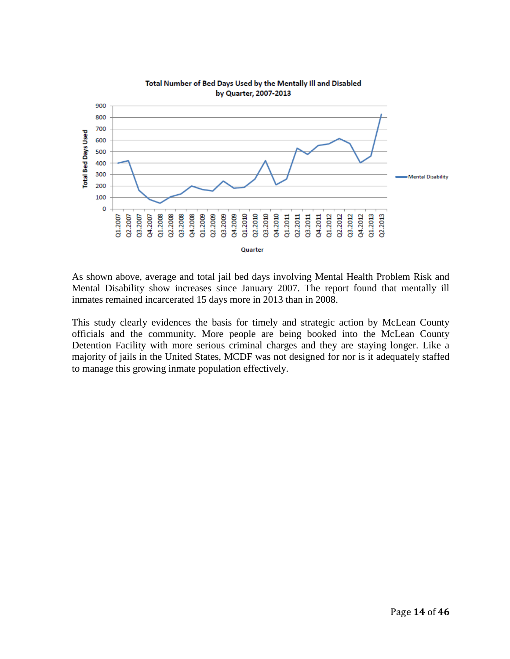

As shown above, average and total jail bed days involving Mental Health Problem Risk and Mental Disability show increases since January 2007. The report found that mentally ill inmates remained incarcerated 15 days more in 2013 than in 2008.

This study clearly evidences the basis for timely and strategic action by McLean County officials and the community. More people are being booked into the McLean County Detention Facility with more serious criminal charges and they are staying longer. Like a majority of jails in the United States, MCDF was not designed for nor is it adequately staffed to manage this growing inmate population effectively.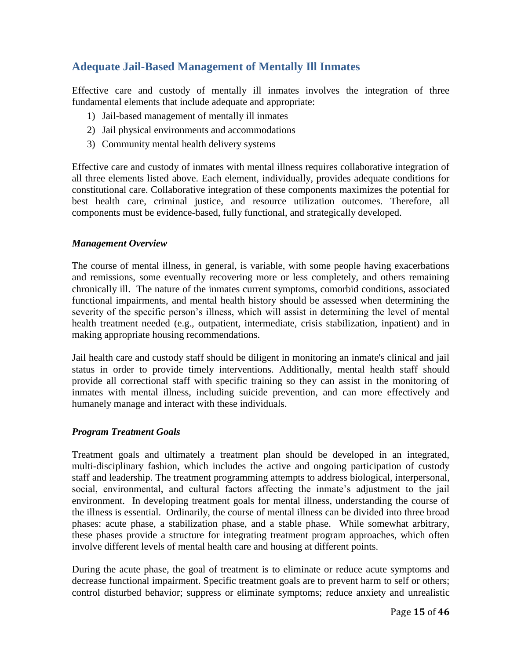# **Adequate Jail-Based Management of Mentally Ill Inmates**

Effective care and custody of mentally ill inmates involves the integration of three fundamental elements that include adequate and appropriate:

- 1) Jail-based management of mentally ill inmates
- 2) Jail physical environments and accommodations
- 3) Community mental health delivery systems

Effective care and custody of inmates with mental illness requires collaborative integration of all three elements listed above. Each element, individually, provides adequate conditions for constitutional care. Collaborative integration of these components maximizes the potential for best health care, criminal justice, and resource utilization outcomes. Therefore, all components must be evidence-based, fully functional, and strategically developed.

#### *Management Overview*

The course of mental illness, in general, is variable, with some people having exacerbations and remissions, some eventually recovering more or less completely, and others remaining chronically ill. The nature of the inmates current symptoms, comorbid conditions, associated functional impairments, and mental health history should be assessed when determining the severity of the specific person's illness, which will assist in determining the level of mental health treatment needed (e.g., outpatient, intermediate, crisis stabilization, inpatient) and in making appropriate housing recommendations.

Jail health care and custody staff should be diligent in monitoring an inmate's clinical and jail status in order to provide timely interventions. Additionally, mental health staff should provide all correctional staff with specific training so they can assist in the monitoring of inmates with mental illness, including suicide prevention, and can more effectively and humanely manage and interact with these individuals.

#### *Program Treatment Goals*

Treatment goals and ultimately a treatment plan should be developed in an integrated, multi-disciplinary fashion, which includes the active and ongoing participation of custody staff and leadership. The treatment programming attempts to address biological, interpersonal, social, environmental, and cultural factors affecting the inmate's adjustment to the jail environment. In developing treatment goals for mental illness, understanding the course of the illness is essential. Ordinarily, the course of mental illness can be divided into three broad phases: acute phase, a stabilization phase, and a stable phase. While somewhat arbitrary, these phases provide a structure for integrating treatment program approaches, which often involve different levels of mental health care and housing at different points.

During the acute phase, the goal of treatment is to eliminate or reduce acute symptoms and decrease functional impairment. Specific treatment goals are to prevent harm to self or others; control disturbed behavior; suppress or eliminate symptoms; reduce anxiety and unrealistic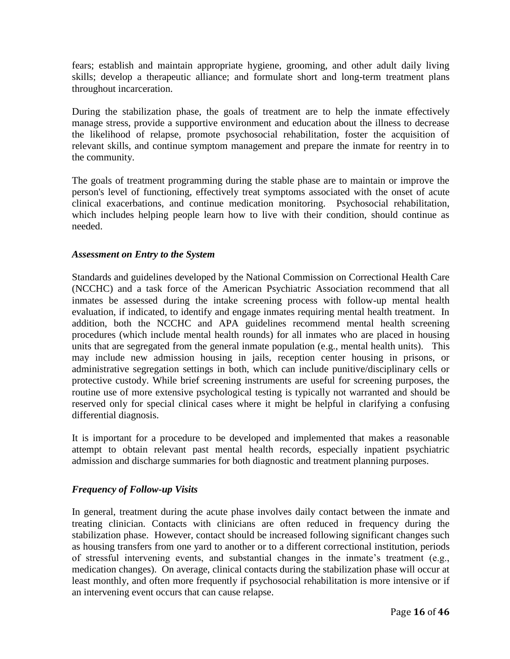fears; establish and maintain appropriate hygiene, grooming, and other adult daily living skills; develop a therapeutic alliance; and formulate short and long-term treatment plans throughout incarceration.

During the stabilization phase, the goals of treatment are to help the inmate effectively manage stress, provide a supportive environment and education about the illness to decrease the likelihood of relapse, promote psychosocial rehabilitation, foster the acquisition of relevant skills, and continue symptom management and prepare the inmate for reentry in to the community.

The goals of treatment programming during the stable phase are to maintain or improve the person's level of functioning, effectively treat symptoms associated with the onset of acute clinical exacerbations, and continue medication monitoring. Psychosocial rehabilitation, which includes helping people learn how to live with their condition, should continue as needed.

#### *Assessment on Entry to the System*

Standards and guidelines developed by the National Commission on Correctional Health Care (NCCHC) and a task force of the American Psychiatric Association recommend that all inmates be assessed during the intake screening process with follow-up mental health evaluation, if indicated, to identify and engage inmates requiring mental health treatment. In addition, both the NCCHC and APA guidelines recommend mental health screening procedures (which include mental health rounds) for all inmates who are placed in housing units that are segregated from the general inmate population (e.g., mental health units). This may include new admission housing in jails, reception center housing in prisons, or administrative segregation settings in both, which can include punitive/disciplinary cells or protective custody. While brief screening instruments are useful for screening purposes, the routine use of more extensive psychological testing is typically not warranted and should be reserved only for special clinical cases where it might be helpful in clarifying a confusing differential diagnosis.

It is important for a procedure to be developed and implemented that makes a reasonable attempt to obtain relevant past mental health records, especially inpatient psychiatric admission and discharge summaries for both diagnostic and treatment planning purposes.

#### *Frequency of Follow-up Visits*

In general, treatment during the acute phase involves daily contact between the inmate and treating clinician. Contacts with clinicians are often reduced in frequency during the stabilization phase. However, contact should be increased following significant changes such as housing transfers from one yard to another or to a different correctional institution, periods of stressful intervening events, and substantial changes in the inmate's treatment (e.g., medication changes). On average, clinical contacts during the stabilization phase will occur at least monthly, and often more frequently if psychosocial rehabilitation is more intensive or if an intervening event occurs that can cause relapse.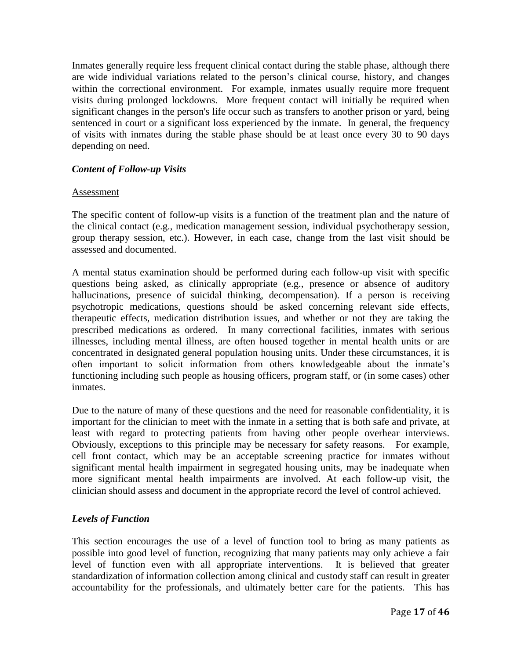Inmates generally require less frequent clinical contact during the stable phase, although there are wide individual variations related to the person's clinical course, history, and changes within the correctional environment. For example, inmates usually require more frequent visits during prolonged lockdowns. More frequent contact will initially be required when significant changes in the person's life occur such as transfers to another prison or yard, being sentenced in court or a significant loss experienced by the inmate. In general, the frequency of visits with inmates during the stable phase should be at least once every 30 to 90 days depending on need.

#### *Content of Follow-up Visits*

#### Assessment

The specific content of follow-up visits is a function of the treatment plan and the nature of the clinical contact (e.g., medication management session, individual psychotherapy session, group therapy session, etc.). However, in each case, change from the last visit should be assessed and documented.

A mental status examination should be performed during each follow-up visit with specific questions being asked, as clinically appropriate (e.g., presence or absence of auditory hallucinations, presence of suicidal thinking, decompensation). If a person is receiving psychotropic medications, questions should be asked concerning relevant side effects, therapeutic effects, medication distribution issues, and whether or not they are taking the prescribed medications as ordered. In many correctional facilities, inmates with serious illnesses, including mental illness, are often housed together in mental health units or are concentrated in designated general population housing units. Under these circumstances, it is often important to solicit information from others knowledgeable about the inmate's functioning including such people as housing officers, program staff, or (in some cases) other inmates.

Due to the nature of many of these questions and the need for reasonable confidentiality, it is important for the clinician to meet with the inmate in a setting that is both safe and private, at least with regard to protecting patients from having other people overhear interviews. Obviously, exceptions to this principle may be necessary for safety reasons. For example, cell front contact, which may be an acceptable screening practice for inmates without significant mental health impairment in segregated housing units, may be inadequate when more significant mental health impairments are involved. At each follow-up visit, the clinician should assess and document in the appropriate record the level of control achieved.

#### *Levels of Function*

This section encourages the use of a level of function tool to bring as many patients as possible into good level of function, recognizing that many patients may only achieve a fair level of function even with all appropriate interventions. It is believed that greater standardization of information collection among clinical and custody staff can result in greater accountability for the professionals, and ultimately better care for the patients. This has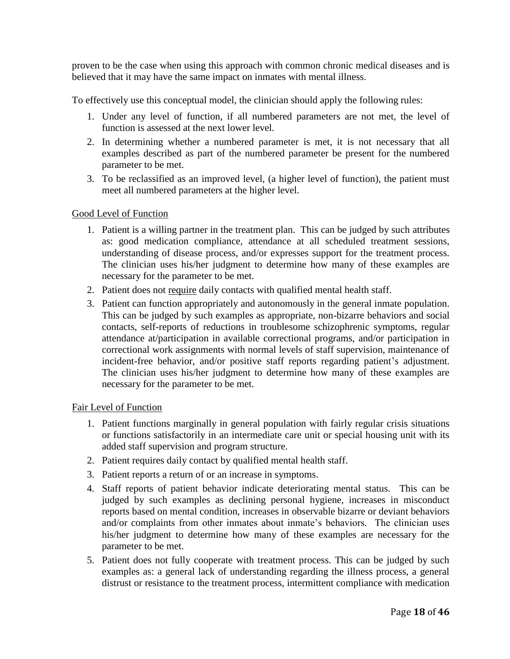proven to be the case when using this approach with common chronic medical diseases and is believed that it may have the same impact on inmates with mental illness.

To effectively use this conceptual model, the clinician should apply the following rules:

- 1. Under any level of function, if all numbered parameters are not met, the level of function is assessed at the next lower level.
- 2. In determining whether a numbered parameter is met, it is not necessary that all examples described as part of the numbered parameter be present for the numbered parameter to be met.
- 3. To be reclassified as an improved level, (a higher level of function), the patient must meet all numbered parameters at the higher level.

#### Good Level of Function

- 1. Patient is a willing partner in the treatment plan. This can be judged by such attributes as: good medication compliance, attendance at all scheduled treatment sessions, understanding of disease process, and/or expresses support for the treatment process. The clinician uses his/her judgment to determine how many of these examples are necessary for the parameter to be met.
- 2. Patient does not require daily contacts with qualified mental health staff.
- 3. Patient can function appropriately and autonomously in the general inmate population. This can be judged by such examples as appropriate, non-bizarre behaviors and social contacts, self-reports of reductions in troublesome schizophrenic symptoms, regular attendance at/participation in available correctional programs, and/or participation in correctional work assignments with normal levels of staff supervision, maintenance of incident-free behavior, and/or positive staff reports regarding patient's adjustment. The clinician uses his/her judgment to determine how many of these examples are necessary for the parameter to be met.

#### Fair Level of Function

- 1. Patient functions marginally in general population with fairly regular crisis situations or functions satisfactorily in an intermediate care unit or special housing unit with its added staff supervision and program structure.
- 2. Patient requires daily contact by qualified mental health staff.
- 3. Patient reports a return of or an increase in symptoms.
- 4. Staff reports of patient behavior indicate deteriorating mental status. This can be judged by such examples as declining personal hygiene, increases in misconduct reports based on mental condition, increases in observable bizarre or deviant behaviors and/or complaints from other inmates about inmate's behaviors. The clinician uses his/her judgment to determine how many of these examples are necessary for the parameter to be met.
- 5. Patient does not fully cooperate with treatment process. This can be judged by such examples as: a general lack of understanding regarding the illness process, a general distrust or resistance to the treatment process, intermittent compliance with medication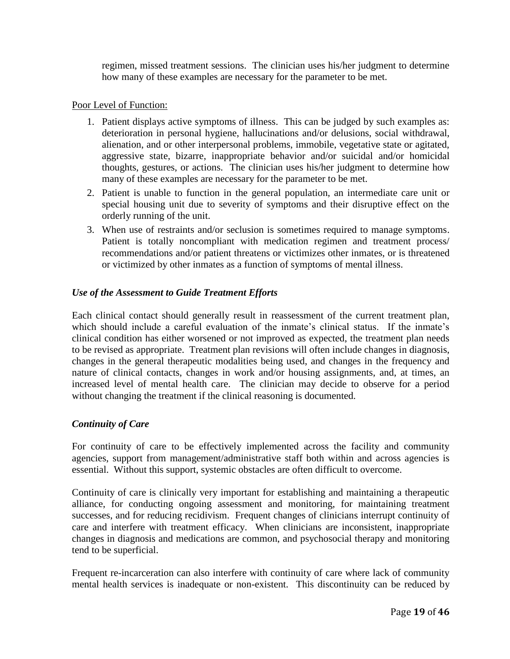regimen, missed treatment sessions. The clinician uses his/her judgment to determine how many of these examples are necessary for the parameter to be met.

Poor Level of Function:

- 1. Patient displays active symptoms of illness. This can be judged by such examples as: deterioration in personal hygiene, hallucinations and/or delusions, social withdrawal, alienation, and or other interpersonal problems, immobile, vegetative state or agitated, aggressive state, bizarre, inappropriate behavior and/or suicidal and/or homicidal thoughts, gestures, or actions. The clinician uses his/her judgment to determine how many of these examples are necessary for the parameter to be met.
- 2. Patient is unable to function in the general population, an intermediate care unit or special housing unit due to severity of symptoms and their disruptive effect on the orderly running of the unit.
- 3. When use of restraints and/or seclusion is sometimes required to manage symptoms. Patient is totally noncompliant with medication regimen and treatment process/ recommendations and/or patient threatens or victimizes other inmates, or is threatened or victimized by other inmates as a function of symptoms of mental illness.

#### *Use of the Assessment to Guide Treatment Efforts*

Each clinical contact should generally result in reassessment of the current treatment plan, which should include a careful evaluation of the inmate's clinical status. If the inmate's clinical condition has either worsened or not improved as expected, the treatment plan needs to be revised as appropriate. Treatment plan revisions will often include changes in diagnosis, changes in the general therapeutic modalities being used, and changes in the frequency and nature of clinical contacts, changes in work and/or housing assignments, and, at times, an increased level of mental health care. The clinician may decide to observe for a period without changing the treatment if the clinical reasoning is documented.

#### *Continuity of Care*

For continuity of care to be effectively implemented across the facility and community agencies, support from management/administrative staff both within and across agencies is essential. Without this support, systemic obstacles are often difficult to overcome.

Continuity of care is clinically very important for establishing and maintaining a therapeutic alliance, for conducting ongoing assessment and monitoring, for maintaining treatment successes, and for reducing recidivism. Frequent changes of clinicians interrupt continuity of care and interfere with treatment efficacy. When clinicians are inconsistent, inappropriate changes in diagnosis and medications are common, and psychosocial therapy and monitoring tend to be superficial.

Frequent re-incarceration can also interfere with continuity of care where lack of community mental health services is inadequate or non-existent. This discontinuity can be reduced by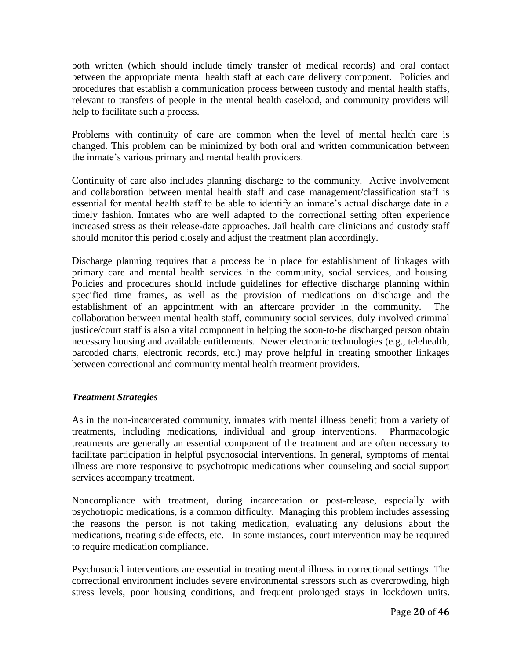both written (which should include timely transfer of medical records) and oral contact between the appropriate mental health staff at each care delivery component. Policies and procedures that establish a communication process between custody and mental health staffs, relevant to transfers of people in the mental health caseload, and community providers will help to facilitate such a process.

Problems with continuity of care are common when the level of mental health care is changed. This problem can be minimized by both oral and written communication between the inmate's various primary and mental health providers.

Continuity of care also includes planning discharge to the community. Active involvement and collaboration between mental health staff and case management/classification staff is essential for mental health staff to be able to identify an inmate's actual discharge date in a timely fashion. Inmates who are well adapted to the correctional setting often experience increased stress as their release-date approaches. Jail health care clinicians and custody staff should monitor this period closely and adjust the treatment plan accordingly.

Discharge planning requires that a process be in place for establishment of linkages with primary care and mental health services in the community, social services, and housing. Policies and procedures should include guidelines for effective discharge planning within specified time frames, as well as the provision of medications on discharge and the establishment of an appointment with an aftercare provider in the community. The collaboration between mental health staff, community social services, duly involved criminal justice/court staff is also a vital component in helping the soon-to-be discharged person obtain necessary housing and available entitlements. Newer electronic technologies (e.g., telehealth, barcoded charts, electronic records, etc.) may prove helpful in creating smoother linkages between correctional and community mental health treatment providers.

#### *Treatment Strategies*

As in the non-incarcerated community, inmates with mental illness benefit from a variety of treatments, including medications, individual and group interventions. Pharmacologic treatments are generally an essential component of the treatment and are often necessary to facilitate participation in helpful psychosocial interventions. In general, symptoms of mental illness are more responsive to psychotropic medications when counseling and social support services accompany treatment.

Noncompliance with treatment, during incarceration or post-release, especially with psychotropic medications, is a common difficulty. Managing this problem includes assessing the reasons the person is not taking medication, evaluating any delusions about the medications, treating side effects, etc. In some instances, court intervention may be required to require medication compliance.

Psychosocial interventions are essential in treating mental illness in correctional settings. The correctional environment includes severe environmental stressors such as overcrowding, high stress levels, poor housing conditions, and frequent prolonged stays in lockdown units.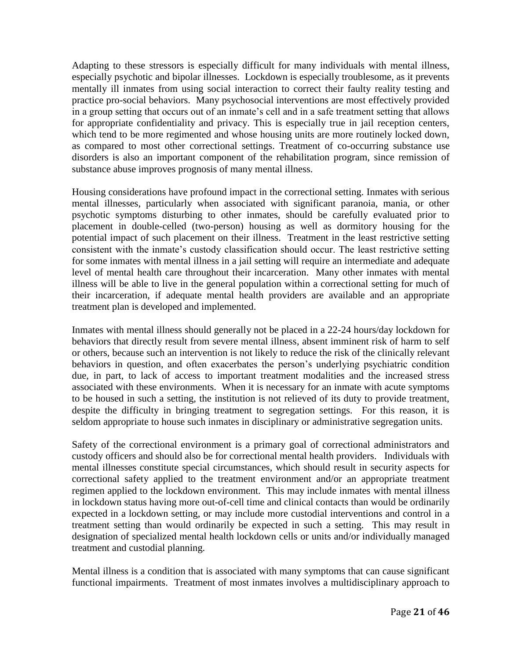Adapting to these stressors is especially difficult for many individuals with mental illness, especially psychotic and bipolar illnesses. Lockdown is especially troublesome, as it prevents mentally ill inmates from using social interaction to correct their faulty reality testing and practice pro-social behaviors. Many psychosocial interventions are most effectively provided in a group setting that occurs out of an inmate's cell and in a safe treatment setting that allows for appropriate confidentiality and privacy. This is especially true in jail reception centers, which tend to be more regimented and whose housing units are more routinely locked down, as compared to most other correctional settings. Treatment of co-occurring substance use disorders is also an important component of the rehabilitation program, since remission of substance abuse improves prognosis of many mental illness.

Housing considerations have profound impact in the correctional setting. Inmates with serious mental illnesses, particularly when associated with significant paranoia, mania, or other psychotic symptoms disturbing to other inmates, should be carefully evaluated prior to placement in double-celled (two-person) housing as well as dormitory housing for the potential impact of such placement on their illness. Treatment in the least restrictive setting consistent with the inmate's custody classification should occur. The least restrictive setting for some inmates with mental illness in a jail setting will require an intermediate and adequate level of mental health care throughout their incarceration. Many other inmates with mental illness will be able to live in the general population within a correctional setting for much of their incarceration, if adequate mental health providers are available and an appropriate treatment plan is developed and implemented.

Inmates with mental illness should generally not be placed in a 22-24 hours/day lockdown for behaviors that directly result from severe mental illness, absent imminent risk of harm to self or others, because such an intervention is not likely to reduce the risk of the clinically relevant behaviors in question, and often exacerbates the person's underlying psychiatric condition due, in part, to lack of access to important treatment modalities and the increased stress associated with these environments. When it is necessary for an inmate with acute symptoms to be housed in such a setting, the institution is not relieved of its duty to provide treatment, despite the difficulty in bringing treatment to segregation settings. For this reason, it is seldom appropriate to house such inmates in disciplinary or administrative segregation units.

Safety of the correctional environment is a primary goal of correctional administrators and custody officers and should also be for correctional mental health providers. Individuals with mental illnesses constitute special circumstances, which should result in security aspects for correctional safety applied to the treatment environment and/or an appropriate treatment regimen applied to the lockdown environment. This may include inmates with mental illness in lockdown status having more out-of-cell time and clinical contacts than would be ordinarily expected in a lockdown setting, or may include more custodial interventions and control in a treatment setting than would ordinarily be expected in such a setting. This may result in designation of specialized mental health lockdown cells or units and/or individually managed treatment and custodial planning.

Mental illness is a condition that is associated with many symptoms that can cause significant functional impairments. Treatment of most inmates involves a multidisciplinary approach to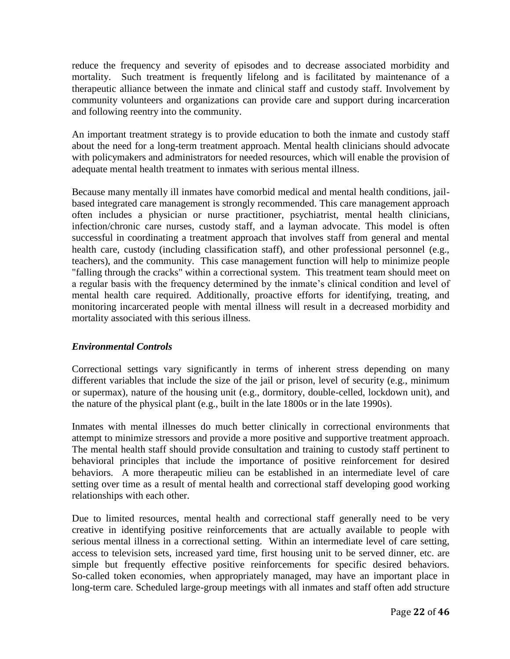reduce the frequency and severity of episodes and to decrease associated morbidity and mortality. Such treatment is frequently lifelong and is facilitated by maintenance of a therapeutic alliance between the inmate and clinical staff and custody staff. Involvement by community volunteers and organizations can provide care and support during incarceration and following reentry into the community.

An important treatment strategy is to provide education to both the inmate and custody staff about the need for a long-term treatment approach. Mental health clinicians should advocate with policymakers and administrators for needed resources, which will enable the provision of adequate mental health treatment to inmates with serious mental illness.

Because many mentally ill inmates have comorbid medical and mental health conditions, jailbased integrated care management is strongly recommended. This care management approach often includes a physician or nurse practitioner, psychiatrist, mental health clinicians, infection/chronic care nurses, custody staff, and a layman advocate. This model is often successful in coordinating a treatment approach that involves staff from general and mental health care, custody (including classification staff), and other professional personnel (e.g., teachers), and the community. This case management function will help to minimize people "falling through the cracks" within a correctional system. This treatment team should meet on a regular basis with the frequency determined by the inmate's clinical condition and level of mental health care required. Additionally, proactive efforts for identifying, treating, and monitoring incarcerated people with mental illness will result in a decreased morbidity and mortality associated with this serious illness.

#### *Environmental Controls*

Correctional settings vary significantly in terms of inherent stress depending on many different variables that include the size of the jail or prison, level of security (e.g., minimum or supermax), nature of the housing unit (e.g., dormitory, double-celled, lockdown unit), and the nature of the physical plant (e.g., built in the late 1800s or in the late 1990s).

Inmates with mental illnesses do much better clinically in correctional environments that attempt to minimize stressors and provide a more positive and supportive treatment approach. The mental health staff should provide consultation and training to custody staff pertinent to behavioral principles that include the importance of positive reinforcement for desired behaviors. A more therapeutic milieu can be established in an intermediate level of care setting over time as a result of mental health and correctional staff developing good working relationships with each other.

Due to limited resources, mental health and correctional staff generally need to be very creative in identifying positive reinforcements that are actually available to people with serious mental illness in a correctional setting. Within an intermediate level of care setting, access to television sets, increased yard time, first housing unit to be served dinner, etc. are simple but frequently effective positive reinforcements for specific desired behaviors. So-called token economies, when appropriately managed, may have an important place in long-term care. Scheduled large-group meetings with all inmates and staff often add structure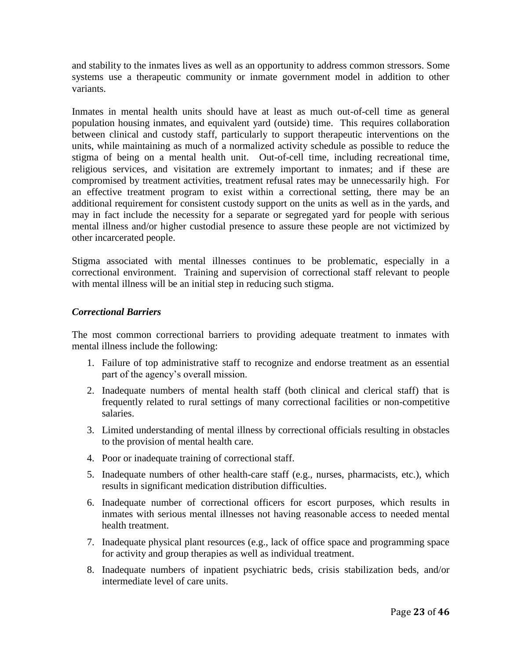and stability to the inmates lives as well as an opportunity to address common stressors. Some systems use a therapeutic community or inmate government model in addition to other variants.

Inmates in mental health units should have at least as much out-of-cell time as general population housing inmates, and equivalent yard (outside) time. This requires collaboration between clinical and custody staff, particularly to support therapeutic interventions on the units, while maintaining as much of a normalized activity schedule as possible to reduce the stigma of being on a mental health unit. Out-of-cell time, including recreational time, religious services, and visitation are extremely important to inmates; and if these are compromised by treatment activities, treatment refusal rates may be unnecessarily high. For an effective treatment program to exist within a correctional setting, there may be an additional requirement for consistent custody support on the units as well as in the yards, and may in fact include the necessity for a separate or segregated yard for people with serious mental illness and/or higher custodial presence to assure these people are not victimized by other incarcerated people.

Stigma associated with mental illnesses continues to be problematic, especially in a correctional environment. Training and supervision of correctional staff relevant to people with mental illness will be an initial step in reducing such stigma.

#### *Correctional Barriers*

The most common correctional barriers to providing adequate treatment to inmates with mental illness include the following:

- 1. Failure of top administrative staff to recognize and endorse treatment as an essential part of the agency's overall mission.
- 2. Inadequate numbers of mental health staff (both clinical and clerical staff) that is frequently related to rural settings of many correctional facilities or non-competitive salaries.
- 3. Limited understanding of mental illness by correctional officials resulting in obstacles to the provision of mental health care.
- 4. Poor or inadequate training of correctional staff.
- 5. Inadequate numbers of other health-care staff (e.g., nurses, pharmacists, etc.), which results in significant medication distribution difficulties.
- 6. Inadequate number of correctional officers for escort purposes, which results in inmates with serious mental illnesses not having reasonable access to needed mental health treatment.
- 7. Inadequate physical plant resources (e.g., lack of office space and programming space for activity and group therapies as well as individual treatment.
- 8. Inadequate numbers of inpatient psychiatric beds, crisis stabilization beds, and/or intermediate level of care units.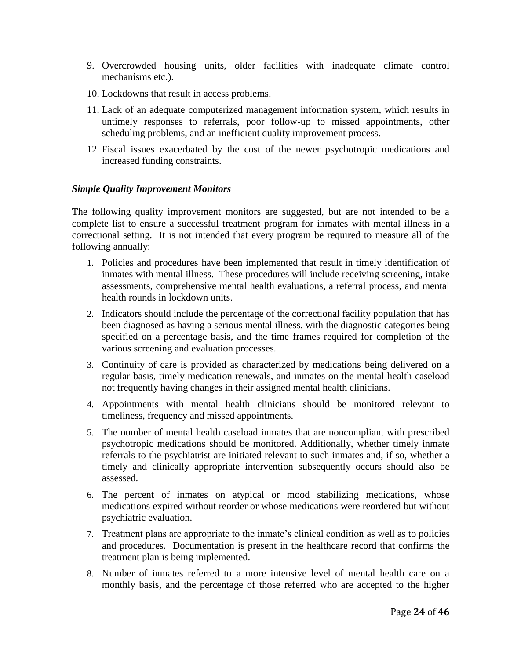- 9. Overcrowded housing units, older facilities with inadequate climate control mechanisms etc.).
- 10. Lockdowns that result in access problems.
- 11. Lack of an adequate computerized management information system, which results in untimely responses to referrals, poor follow-up to missed appointments, other scheduling problems, and an inefficient quality improvement process.
- 12. Fiscal issues exacerbated by the cost of the newer psychotropic medications and increased funding constraints.

#### *Simple Quality Improvement Monitors*

The following quality improvement monitors are suggested, but are not intended to be a complete list to ensure a successful treatment program for inmates with mental illness in a correctional setting. It is not intended that every program be required to measure all of the following annually:

- 1. Policies and procedures have been implemented that result in timely identification of inmates with mental illness. These procedures will include receiving screening, intake assessments, comprehensive mental health evaluations, a referral process, and mental health rounds in lockdown units.
- 2. Indicators should include the percentage of the correctional facility population that has been diagnosed as having a serious mental illness, with the diagnostic categories being specified on a percentage basis, and the time frames required for completion of the various screening and evaluation processes.
- 3. Continuity of care is provided as characterized by medications being delivered on a regular basis, timely medication renewals, and inmates on the mental health caseload not frequently having changes in their assigned mental health clinicians.
- 4. Appointments with mental health clinicians should be monitored relevant to timeliness, frequency and missed appointments.
- 5. The number of mental health caseload inmates that are noncompliant with prescribed psychotropic medications should be monitored. Additionally, whether timely inmate referrals to the psychiatrist are initiated relevant to such inmates and, if so, whether a timely and clinically appropriate intervention subsequently occurs should also be assessed.
- 6. The percent of inmates on atypical or mood stabilizing medications, whose medications expired without reorder or whose medications were reordered but without psychiatric evaluation.
- 7. Treatment plans are appropriate to the inmate's clinical condition as well as to policies and procedures. Documentation is present in the healthcare record that confirms the treatment plan is being implemented.
- 8. Number of inmates referred to a more intensive level of mental health care on a monthly basis, and the percentage of those referred who are accepted to the higher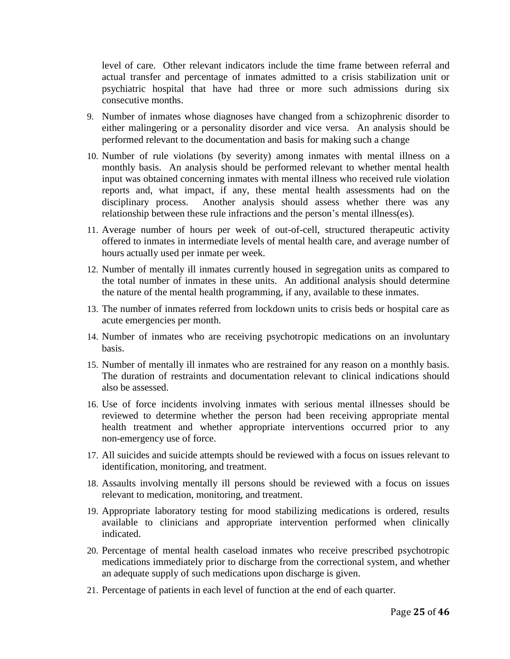level of care. Other relevant indicators include the time frame between referral and actual transfer and percentage of inmates admitted to a crisis stabilization unit or psychiatric hospital that have had three or more such admissions during six consecutive months.

- 9. Number of inmates whose diagnoses have changed from a schizophrenic disorder to either malingering or a personality disorder and vice versa. An analysis should be performed relevant to the documentation and basis for making such a change
- 10. Number of rule violations (by severity) among inmates with mental illness on a monthly basis. An analysis should be performed relevant to whether mental health input was obtained concerning inmates with mental illness who received rule violation reports and, what impact, if any, these mental health assessments had on the disciplinary process. Another analysis should assess whether there was any relationship between these rule infractions and the person's mental illness(es).
- 11. Average number of hours per week of out-of-cell, structured therapeutic activity offered to inmates in intermediate levels of mental health care, and average number of hours actually used per inmate per week.
- 12. Number of mentally ill inmates currently housed in segregation units as compared to the total number of inmates in these units. An additional analysis should determine the nature of the mental health programming, if any, available to these inmates.
- 13. The number of inmates referred from lockdown units to crisis beds or hospital care as acute emergencies per month.
- 14. Number of inmates who are receiving psychotropic medications on an involuntary basis.
- 15. Number of mentally ill inmates who are restrained for any reason on a monthly basis. The duration of restraints and documentation relevant to clinical indications should also be assessed.
- 16. Use of force incidents involving inmates with serious mental illnesses should be reviewed to determine whether the person had been receiving appropriate mental health treatment and whether appropriate interventions occurred prior to any non-emergency use of force.
- 17. All suicides and suicide attempts should be reviewed with a focus on issues relevant to identification, monitoring, and treatment.
- 18. Assaults involving mentally ill persons should be reviewed with a focus on issues relevant to medication, monitoring, and treatment.
- 19. Appropriate laboratory testing for mood stabilizing medications is ordered, results available to clinicians and appropriate intervention performed when clinically indicated.
- 20. Percentage of mental health caseload inmates who receive prescribed psychotropic medications immediately prior to discharge from the correctional system, and whether an adequate supply of such medications upon discharge is given.
- 21. Percentage of patients in each level of function at the end of each quarter.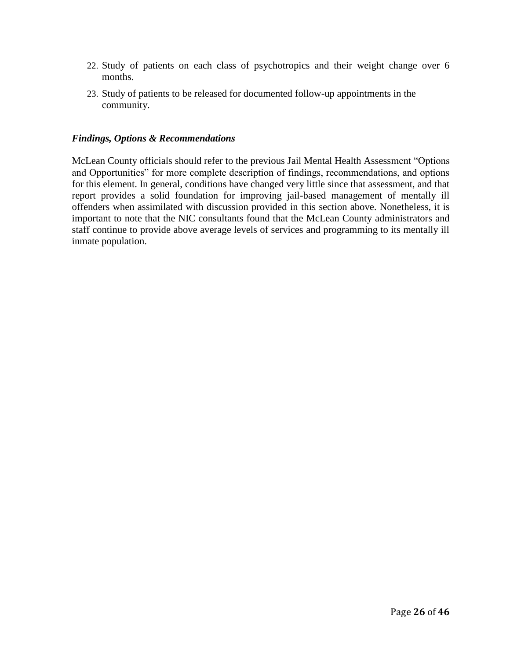- 22. Study of patients on each class of psychotropics and their weight change over 6 months.
- 23. Study of patients to be released for documented follow-up appointments in the community.

#### *Findings, Options & Recommendations*

McLean County officials should refer to the previous Jail Mental Health Assessment "Options and Opportunities" for more complete description of findings, recommendations, and options for this element. In general, conditions have changed very little since that assessment, and that report provides a solid foundation for improving jail-based management of mentally ill offenders when assimilated with discussion provided in this section above. Nonetheless, it is important to note that the NIC consultants found that the McLean County administrators and staff continue to provide above average levels of services and programming to its mentally ill inmate population.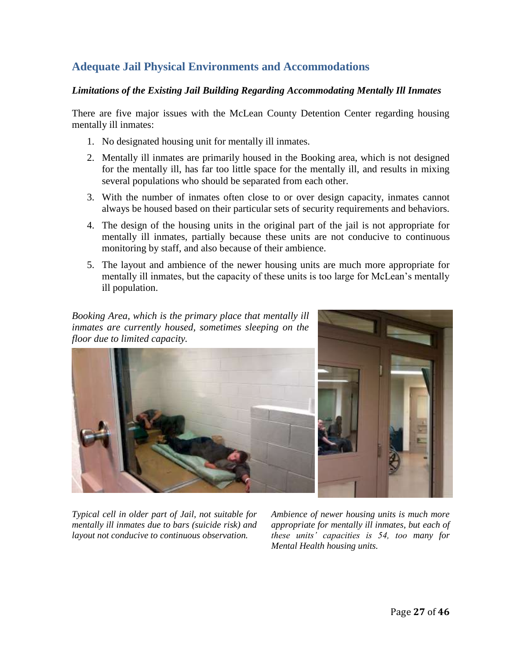# **Adequate Jail Physical Environments and Accommodations**

#### *Limitations of the Existing Jail Building Regarding Accommodating Mentally Ill Inmates*

There are five major issues with the McLean County Detention Center regarding housing mentally ill inmates:

- 1. No designated housing unit for mentally ill inmates.
- 2. Mentally ill inmates are primarily housed in the Booking area, which is not designed for the mentally ill, has far too little space for the mentally ill, and results in mixing several populations who should be separated from each other.
- 3. With the number of inmates often close to or over design capacity, inmates cannot always be housed based on their particular sets of security requirements and behaviors.
- 4. The design of the housing units in the original part of the jail is not appropriate for mentally ill inmates, partially because these units are not conducive to continuous monitoring by staff, and also because of their ambience.
- 5. The layout and ambience of the newer housing units are much more appropriate for mentally ill inmates, but the capacity of these units is too large for McLean's mentally ill population.

*Booking Area, which is the primary place that mentally ill inmates are currently housed, sometimes sleeping on the floor due to limited capacity.*



*Typical cell in older part of Jail, not suitable for mentally ill inmates due to bars (suicide risk) and layout not conducive to continuous observation.*

*Ambience of newer housing units is much more appropriate for mentally ill inmates, but each of these units' capacities is 54, too many for Mental Health housing units.*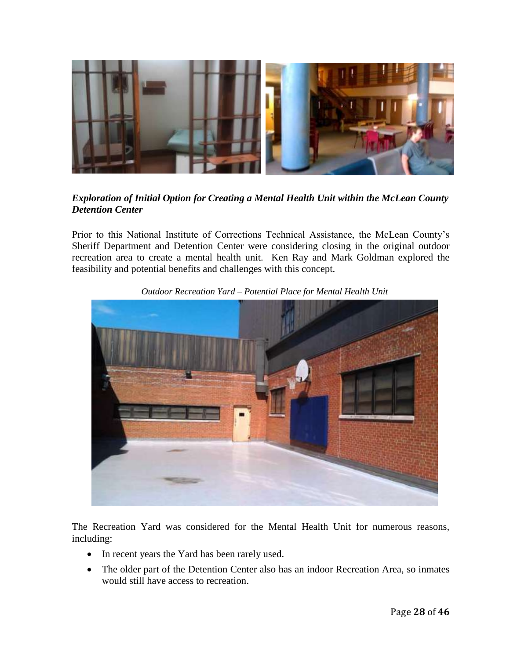

*Exploration of Initial Option for Creating a Mental Health Unit within the McLean County Detention Center*

Prior to this National Institute of Corrections Technical Assistance, the McLean County's Sheriff Department and Detention Center were considering closing in the original outdoor recreation area to create a mental health unit. Ken Ray and Mark Goldman explored the feasibility and potential benefits and challenges with this concept.



*Outdoor Recreation Yard – Potential Place for Mental Health Unit*

The Recreation Yard was considered for the Mental Health Unit for numerous reasons, including:

- In recent years the Yard has been rarely used.
- The older part of the Detention Center also has an indoor Recreation Area, so inmates would still have access to recreation.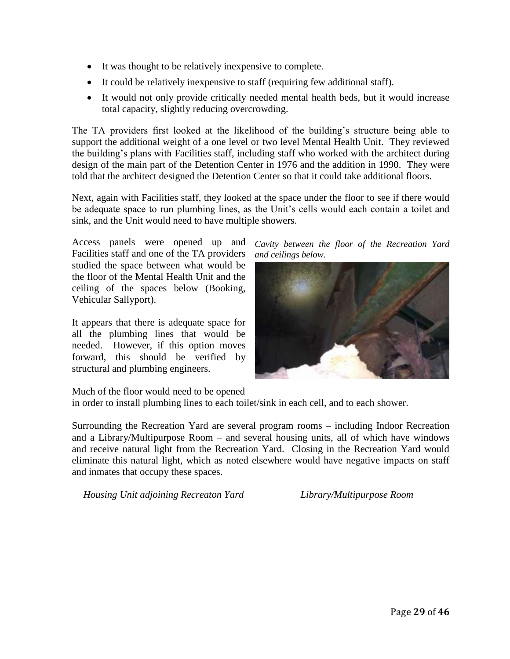- It was thought to be relatively inexpensive to complete.
- It could be relatively inexpensive to staff (requiring few additional staff).
- It would not only provide critically needed mental health beds, but it would increase total capacity, slightly reducing overcrowding.

The TA providers first looked at the likelihood of the building's structure being able to support the additional weight of a one level or two level Mental Health Unit. They reviewed the building's plans with Facilities staff, including staff who worked with the architect during design of the main part of the Detention Center in 1976 and the addition in 1990. They were told that the architect designed the Detention Center so that it could take additional floors.

Next, again with Facilities staff, they looked at the space under the floor to see if there would be adequate space to run plumbing lines, as the Unit's cells would each contain a toilet and sink, and the Unit would need to have multiple showers.

Access panels were opened up and Facilities staff and one of the TA providers studied the space between what would be the floor of the Mental Health Unit and the ceiling of the spaces below (Booking, Vehicular Sallyport).

It appears that there is adequate space for all the plumbing lines that would be needed. However, if this option moves forward, this should be verified by structural and plumbing engineers.

*Cavity between the floor of the Recreation Yard and ceilings below.*



Much of the floor would need to be opened

in order to install plumbing lines to each toilet/sink in each cell, and to each shower.

Surrounding the Recreation Yard are several program rooms – including Indoor Recreation and a Library/Multipurpose Room – and several housing units, all of which have windows and receive natural light from the Recreation Yard. Closing in the Recreation Yard would eliminate this natural light, which as noted elsewhere would have negative impacts on staff and inmates that occupy these spaces.

*Housing Unit adjoining Recreaton Yard Library/Multipurpose Room*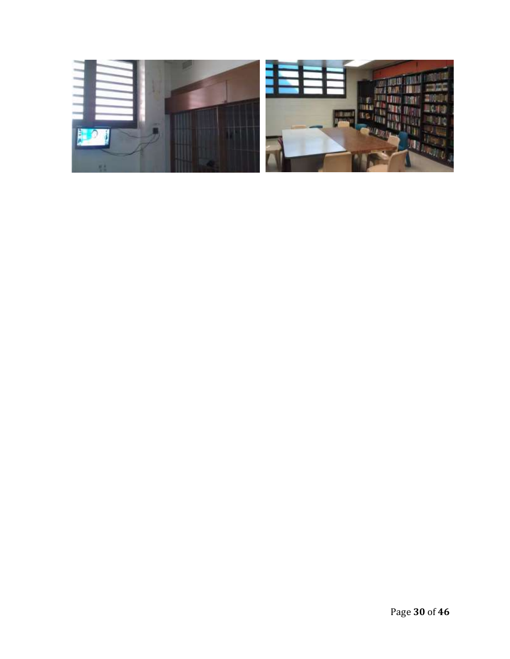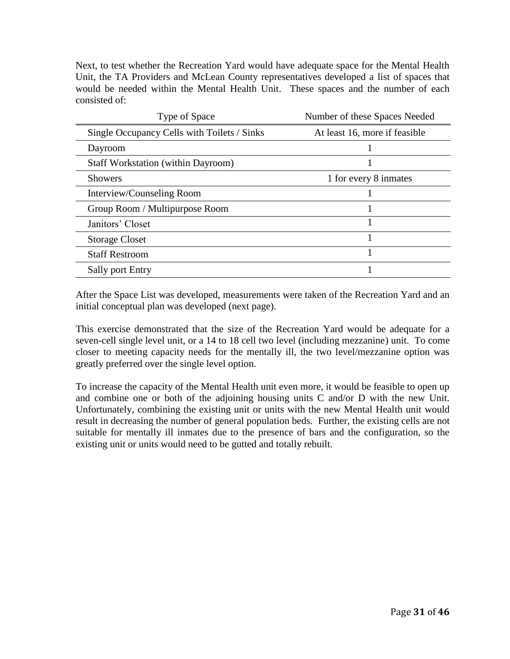Next, to test whether the Recreation Yard would have adequate space for the Mental Health Unit, the TA Providers and McLean County representatives developed a list of spaces that would be needed within the Mental Health Unit. These spaces and the number of each consisted of:

| Type of Space                               | Number of these Spaces Needed |  |  |  |  |  |
|---------------------------------------------|-------------------------------|--|--|--|--|--|
| Single Occupancy Cells with Toilets / Sinks | At least 16, more if feasible |  |  |  |  |  |
| Dayroom                                     |                               |  |  |  |  |  |
| <b>Staff Workstation (within Dayroom)</b>   |                               |  |  |  |  |  |
| <b>Showers</b>                              | 1 for every 8 inmates         |  |  |  |  |  |
| Interview/Counseling Room                   |                               |  |  |  |  |  |
| Group Room / Multipurpose Room              |                               |  |  |  |  |  |
| Janitors' Closet                            |                               |  |  |  |  |  |
| <b>Storage Closet</b>                       |                               |  |  |  |  |  |
| <b>Staff Restroom</b>                       |                               |  |  |  |  |  |
| <b>Sally port Entry</b>                     |                               |  |  |  |  |  |

After the Space List was developed, measurements were taken of the Recreation Yard and an initial conceptual plan was developed (next page).

This exercise demonstrated that the size of the Recreation Yard would be adequate for a seven-cell single level unit, or a 14 to 18 cell two level (including mezzanine) unit. To come closer to meeting capacity needs for the mentally ill, the two level/mezzanine option was greatly preferred over the single level option.

To increase the capacity of the Mental Health unit even more, it would be feasible to open up and combine one or both of the adjoining housing units C and/or D with the new Unit. Unfortunately, combining the existing unit or units with the new Mental Health unit would result in decreasing the number of general population beds. Further, the existing cells are not suitable for mentally ill inmates due to the presence of bars and the configuration, so the existing unit or units would need to be gutted and totally rebuilt.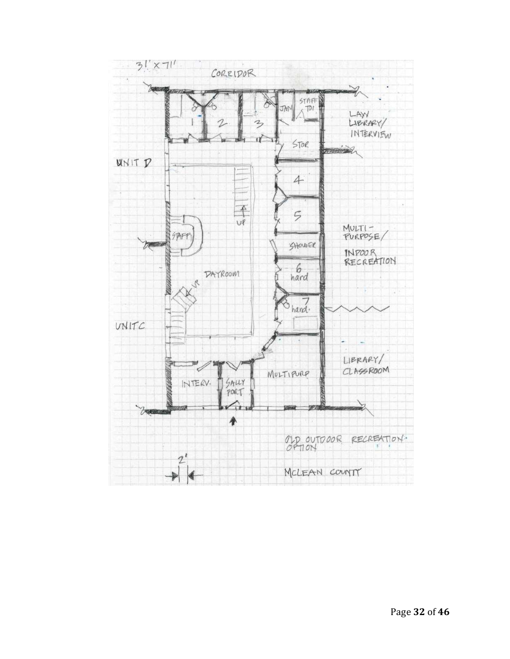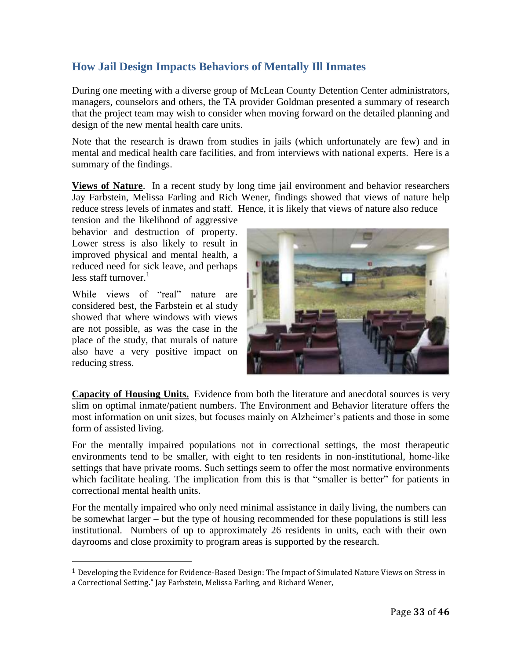# **How Jail Design Impacts Behaviors of Mentally Ill Inmates**

During one meeting with a diverse group of McLean County Detention Center administrators, managers, counselors and others, the TA provider Goldman presented a summary of research that the project team may wish to consider when moving forward on the detailed planning and design of the new mental health care units.

Note that the research is drawn from studies in jails (which unfortunately are few) and in mental and medical health care facilities, and from interviews with national experts. Here is a summary of the findings.

**Views of Nature**. In a recent study by long time jail environment and behavior researchers Jay Farbstein, Melissa Farling and Rich Wener, findings showed that views of nature help reduce stress levels of inmates and staff. Hence, it is likely that views of nature also reduce

tension and the likelihood of aggressive behavior and destruction of property. Lower stress is also likely to result in improved physical and mental health, a reduced need for sick leave, and perhaps less staff turnover. $^1$ 

While views of "real" nature are considered best, the Farbstein et al study showed that where windows with views are not possible, as was the case in the place of the study, that murals of nature also have a very positive impact on reducing stress.

 $\overline{a}$ 



**Capacity of Housing Units.** Evidence from both the literature and anecdotal sources is very slim on optimal inmate/patient numbers. The Environment and Behavior literature offers the most information on unit sizes, but focuses mainly on Alzheimer's patients and those in some form of assisted living.

For the mentally impaired populations not in correctional settings, the most therapeutic environments tend to be smaller, with eight to ten residents in non-institutional, home-like settings that have private rooms. Such settings seem to offer the most normative environments which facilitate healing. The implication from this is that "smaller is better" for patients in correctional mental health units.

For the mentally impaired who only need minimal assistance in daily living, the numbers can be somewhat larger – but the type of housing recommended for these populations is still less institutional. Numbers of up to approximately 26 residents in units, each with their own dayrooms and close proximity to program areas is supported by the research.

<sup>&</sup>lt;sup>1</sup> Developing the Evidence for Evidence-Based Design: The Impact of Simulated Nature Views on Stress in a Correctional Setting." Jay Farbstein, Melissa Farling, and Richard Wener,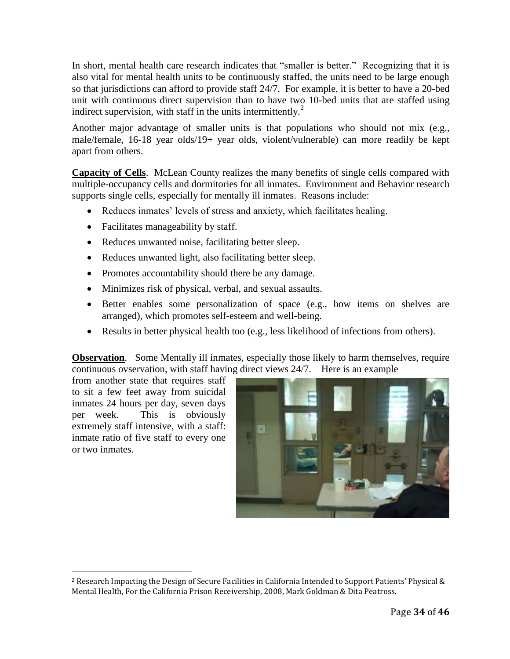In short, mental health care research indicates that "smaller is better." Recognizing that it is also vital for mental health units to be continuously staffed, the units need to be large enough so that jurisdictions can afford to provide staff 24/7. For example, it is better to have a 20-bed unit with continuous direct supervision than to have two 10-bed units that are staffed using indirect supervision, with staff in the units intermittently.<sup>2</sup>

Another major advantage of smaller units is that populations who should not mix (e.g., male/female, 16-18 year olds/19+ year olds, violent/vulnerable) can more readily be kept apart from others.

**Capacity of Cells**. McLean County realizes the many benefits of single cells compared with multiple-occupancy cells and dormitories for all inmates. Environment and Behavior research supports single cells, especially for mentally ill inmates. Reasons include:

- Reduces inmates' levels of stress and anxiety, which facilitates healing.
- Facilitates manageability by staff.
- Reduces unwanted noise, facilitating better sleep.
- Reduces unwanted light, also facilitating better sleep.
- Promotes accountability should there be any damage.
- Minimizes risk of physical, verbal, and sexual assaults.
- Better enables some personalization of space (e.g., how items on shelves are arranged), which promotes self-esteem and well-being.
- Results in better physical health too (e.g., less likelihood of infections from others).

**Observation.** Some Mentally ill inmates, especially those likely to harm themselves, require continuous ovservation, with staff having direct views 24/7. Here is an example

from another state that requires staff to sit a few feet away from suicidal inmates 24 hours per day, seven days per week. This is obviously extremely staff intensive, with a staff: inmate ratio of five staff to every one or two inmates.

 $\overline{a}$ 



<sup>2</sup> Research Impacting the Design of Secure Facilities in California Intended to Support Patients' Physical & Mental Health, For the California Prison Receivership, 2008, Mark Goldman & Dita Peatross.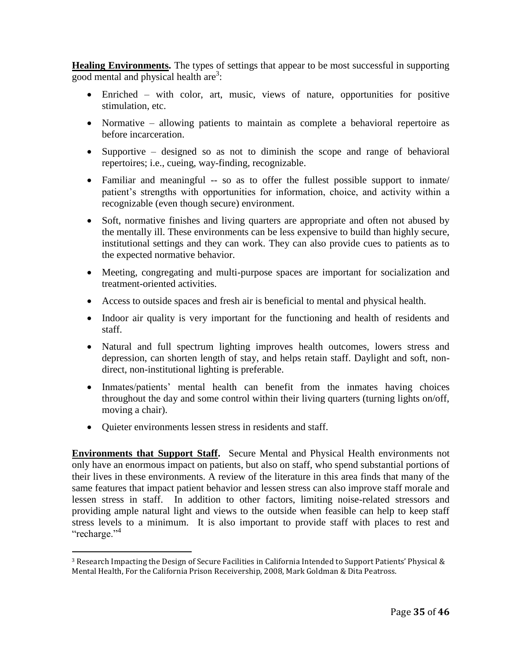**Healing Environments.** The types of settings that appear to be most successful in supporting good mental and physical health are<sup>3</sup>:

- Enriched with color, art, music, views of nature, opportunities for positive stimulation, etc.
- Normative allowing patients to maintain as complete a behavioral repertoire as before incarceration.
- Supportive designed so as not to diminish the scope and range of behavioral repertoires; i.e., cueing, way-finding, recognizable.
- Familiar and meaningful -- so as to offer the fullest possible support to inmate/ patient's strengths with opportunities for information, choice, and activity within a recognizable (even though secure) environment.
- Soft, normative finishes and living quarters are appropriate and often not abused by the mentally ill. These environments can be less expensive to build than highly secure, institutional settings and they can work. They can also provide cues to patients as to the expected normative behavior.
- Meeting, congregating and multi-purpose spaces are important for socialization and treatment-oriented activities.
- Access to outside spaces and fresh air is beneficial to mental and physical health.
- Indoor air quality is very important for the functioning and health of residents and staff.
- Natural and full spectrum lighting improves health outcomes, lowers stress and depression, can shorten length of stay, and helps retain staff. Daylight and soft, nondirect, non-institutional lighting is preferable.
- Inmates/patients' mental health can benefit from the inmates having choices throughout the day and some control within their living quarters (turning lights on/off, moving a chair).
- Quieter environments lessen stress in residents and staff.

 $\overline{a}$ 

**Environments that Support Staff.** Secure Mental and Physical Health environments not only have an enormous impact on patients, but also on staff, who spend substantial portions of their lives in these environments. A review of the literature in this area finds that many of the same features that impact patient behavior and lessen stress can also improve staff morale and lessen stress in staff. In addition to other factors, limiting noise-related stressors and providing ample natural light and views to the outside when feasible can help to keep staff stress levels to a minimum. It is also important to provide staff with places to rest and "recharge."<sup>4</sup>

<sup>3</sup> Research Impacting the Design of Secure Facilities in California Intended to Support Patients' Physical & Mental Health, For the California Prison Receivership, 2008, Mark Goldman & Dita Peatross.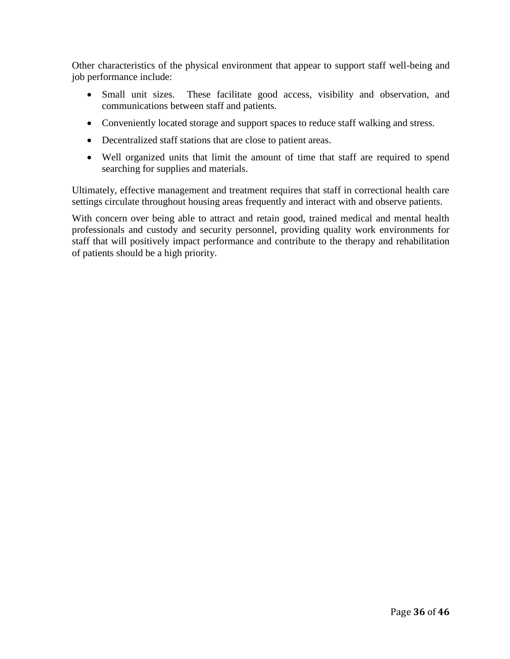Other characteristics of the physical environment that appear to support staff well-being and job performance include:

- Small unit sizes. These facilitate good access, visibility and observation, and communications between staff and patients.
- Conveniently located storage and support spaces to reduce staff walking and stress.
- Decentralized staff stations that are close to patient areas.
- Well organized units that limit the amount of time that staff are required to spend searching for supplies and materials.

Ultimately, effective management and treatment requires that staff in correctional health care settings circulate throughout housing areas frequently and interact with and observe patients.

With concern over being able to attract and retain good, trained medical and mental health professionals and custody and security personnel, providing quality work environments for staff that will positively impact performance and contribute to the therapy and rehabilitation of patients should be a high priority.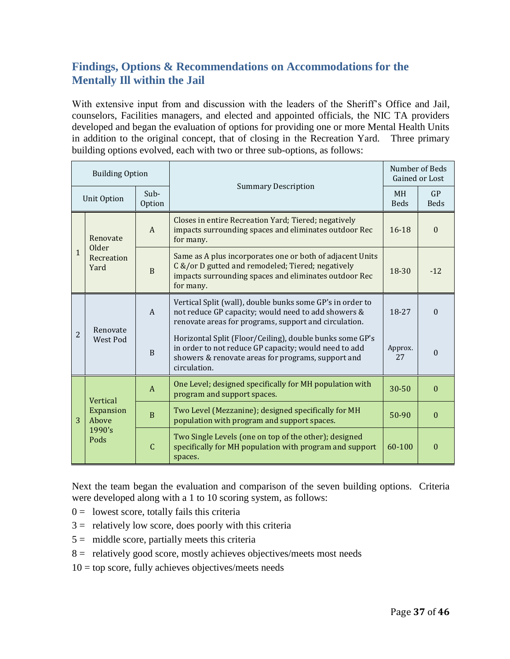# **Findings, Options & Recommendations on Accommodations for the Mentally Ill within the Jail**

With extensive input from and discussion with the leaders of the Sheriff's Office and Jail, counselors, Facilities managers, and elected and appointed officials, the NIC TA providers developed and began the evaluation of options for providing one or more Mental Health Units in addition to the original concept, that of closing in the Recreation Yard. Three primary building options evolved, each with two or three sub-options, as follows:

| <b>Building Option</b> |                                      |                  | <b>Summary Description</b>                                                                                                                                                              | Number of Beds<br>Gained or Lost |                   |  |
|------------------------|--------------------------------------|------------------|-----------------------------------------------------------------------------------------------------------------------------------------------------------------------------------------|----------------------------------|-------------------|--|
| <b>Unit Option</b>     |                                      | $Sub-$<br>Option |                                                                                                                                                                                         | <b>MH</b><br><b>Beds</b>         | GP<br><b>Beds</b> |  |
| $\mathbf{1}$           | Renovate                             | $\overline{A}$   | Closes in entire Recreation Yard; Tiered; negatively<br>impacts surrounding spaces and eliminates outdoor Rec<br>for many.                                                              | $16 - 18$                        | $\Omega$          |  |
|                        | Older<br>Recreation<br>Yard          | $\overline{B}$   | Same as A plus incorporates one or both of adjacent Units<br>C &/or D gutted and remodeled; Tiered; negatively<br>impacts surrounding spaces and eliminates outdoor Rec<br>for many.    |                                  |                   |  |
| 2                      | Renovate<br>West Pod                 | $\overline{A}$   | Vertical Split (wall), double bunks some GP's in order to<br>not reduce GP capacity; would need to add showers &<br>renovate areas for programs, support and circulation.               | 18-27                            | $\Omega$          |  |
|                        |                                      | <sub>B</sub>     | Horizontal Split (Floor/Ceiling), double bunks some GP's<br>in order to not reduce GP capacity; would need to add<br>showers & renovate areas for programs, support and<br>circulation. | Approx.<br>27                    | 0                 |  |
|                        | Vertical                             | $\mathbf{A}$     | One Level; designed specifically for MH population with<br>program and support spaces.                                                                                                  | 30-50                            | $\Omega$          |  |
| 3                      | Expansion<br>Above<br>1990's<br>Pods | B                | Two Level (Mezzanine); designed specifically for MH<br>population with program and support spaces.                                                                                      | 50-90                            | $\Omega$          |  |
|                        |                                      | $\mathcal{C}$    | Two Single Levels (one on top of the other); designed<br>specifically for MH population with program and support<br>spaces.                                                             | 60-100                           | $\Omega$          |  |

Next the team began the evaluation and comparison of the seven building options. Criteria were developed along with a 1 to 10 scoring system, as follows:

- $0 =$  lowest score, totally fails this criteria
- $3 =$  relatively low score, does poorly with this criteria
- $5 =$  middle score, partially meets this criteria
- $8 =$  relatively good score, mostly achieves objectives/meets most needs
- $10 =$  top score, fully achieves objectives/meets needs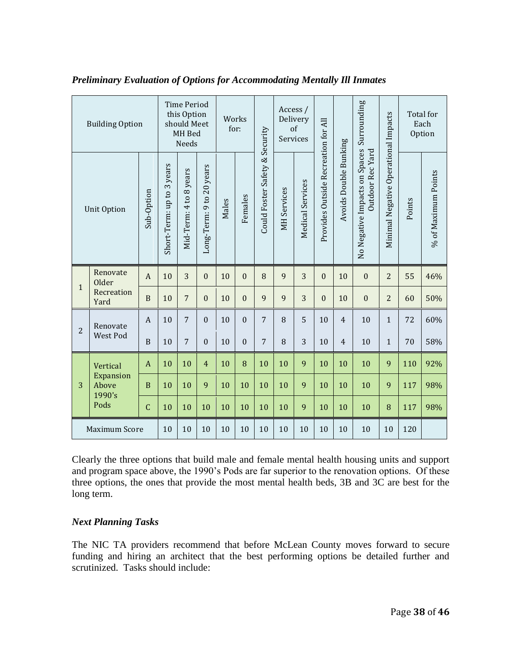| <b>Building Option</b> |                                                  |                  | <b>Time Period</b><br>this Option<br>should Meet<br>MH Bed<br><b>Needs</b> |                                                       | Works<br>for:                                        |       |                  | Access /<br>Delivery<br>of<br>Services |                    |                  |                                     | Surrounding                  |                                                   | <b>Total</b> for<br>Each<br>Option   |        |                     |
|------------------------|--------------------------------------------------|------------------|----------------------------------------------------------------------------|-------------------------------------------------------|------------------------------------------------------|-------|------------------|----------------------------------------|--------------------|------------------|-------------------------------------|------------------------------|---------------------------------------------------|--------------------------------------|--------|---------------------|
| <b>Unit Option</b>     |                                                  | Sub-Option       | years<br>$\infty$<br>Short-Term: up to                                     | years<br>$\infty$<br>$\overline{c}$<br>4<br>Mid-Term: | 20 years<br>$\mathfrak{c}$<br>$\sigma$<br>Long-Term: | Males | Females          | Could Foster Safety & Security         | <b>MH</b> Services | Medical Services | Provides Outside Recreation for All | <b>Avoids Double Bunking</b> | No Negative Impacts on Spaces<br>Outdoor Rec Yard | Minimal Negative Operational Impacts | Points | % of Maximum Points |
|                        | Renovate<br>Older<br>Recreation<br>Yard          | $\mathbf{A}$     | 10                                                                         | 3                                                     | $\mathbf{0}$                                         | 10    | $\mathbf{0}$     | 8                                      | 9                  | 3                | $\mathbf{0}$                        | 10                           | $\boldsymbol{0}$                                  | $\overline{2}$                       | 55     | 46%                 |
| $\mathbf{1}$           |                                                  | $\overline{B}$   | 10                                                                         | $\overline{7}$                                        | $\mathbf{0}$                                         | 10    | $\boldsymbol{0}$ | 9                                      | 9                  | 3                | $\boldsymbol{0}$                    | 10                           | $\mathbf{0}$                                      | $\overline{2}$                       | 60     | 50%                 |
| $\overline{2}$         | Renovate<br>West Pod                             | $\overline{A}$   | 10                                                                         | $\overline{7}$                                        | $\mathbf{0}$                                         | 10    | $\mathbf{0}$     | $\overline{7}$                         | 8                  | 5                | 10                                  | $\overline{4}$               | 10                                                | $\mathbf{1}$                         | 72     | 60%                 |
|                        |                                                  | B                | 10                                                                         | $\overline{7}$                                        | $\boldsymbol{0}$                                     | 10    | $\boldsymbol{0}$ | $\overline{7}$                         | $\, 8$             | 3                | 10                                  | $\overline{4}$               | 10                                                | $\mathbf{1}$                         | 70     | 58%                 |
| 3                      | Vertical<br>Expansion<br>Above<br>1990's<br>Pods | $\boldsymbol{A}$ | 10                                                                         | 10                                                    | $\overline{4}$                                       | 10    | 8                | 10                                     | 10                 | 9                | 10                                  | 10                           | 10                                                | 9                                    | 110    | 92%                 |
|                        |                                                  | B                | 10                                                                         | 10                                                    | 9                                                    | 10    | 10               | 10                                     | 10                 | 9                | 10                                  | 10                           | 10                                                | 9                                    | 117    | 98%                 |
|                        |                                                  | $\mathsf{C}$     | 10                                                                         | 10                                                    | 10                                                   | 10    | 10               | 10                                     | 10                 | 9                | 10                                  | 10                           | 10                                                | 8                                    | 117    | 98%                 |
| <b>Maximum Score</b>   |                                                  | 10               | 10                                                                         | 10                                                    | 10                                                   | 10    | 10               | 10                                     | 10                 | 10               | 10                                  | 10                           | 10                                                | 120                                  |        |                     |

#### *Preliminary Evaluation of Options for Accommodating Mentally Ill Inmates*

Clearly the three options that build male and female mental health housing units and support and program space above, the 1990's Pods are far superior to the renovation options. Of these three options, the ones that provide the most mental health beds, 3B and 3C are best for the long term.

#### *Next Planning Tasks*

The NIC TA providers recommend that before McLean County moves forward to secure funding and hiring an architect that the best performing options be detailed further and scrutinized. Tasks should include: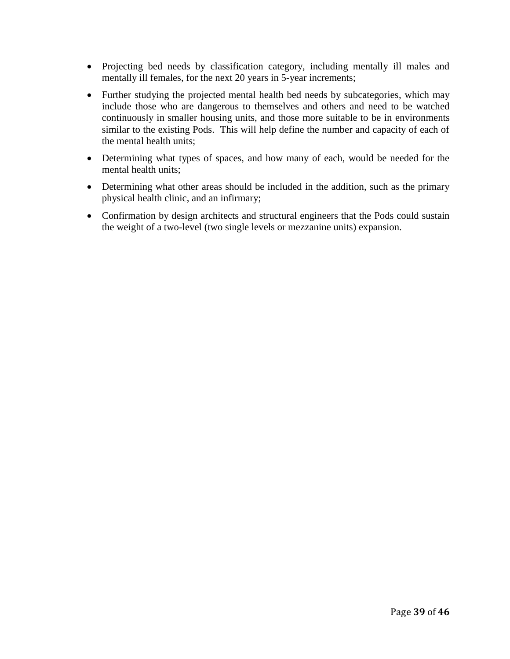- Projecting bed needs by classification category, including mentally ill males and mentally ill females, for the next 20 years in 5-year increments;
- Further studying the projected mental health bed needs by subcategories, which may include those who are dangerous to themselves and others and need to be watched continuously in smaller housing units, and those more suitable to be in environments similar to the existing Pods. This will help define the number and capacity of each of the mental health units;
- Determining what types of spaces, and how many of each, would be needed for the mental health units;
- Determining what other areas should be included in the addition, such as the primary physical health clinic, and an infirmary;
- Confirmation by design architects and structural engineers that the Pods could sustain the weight of a two-level (two single levels or mezzanine units) expansion.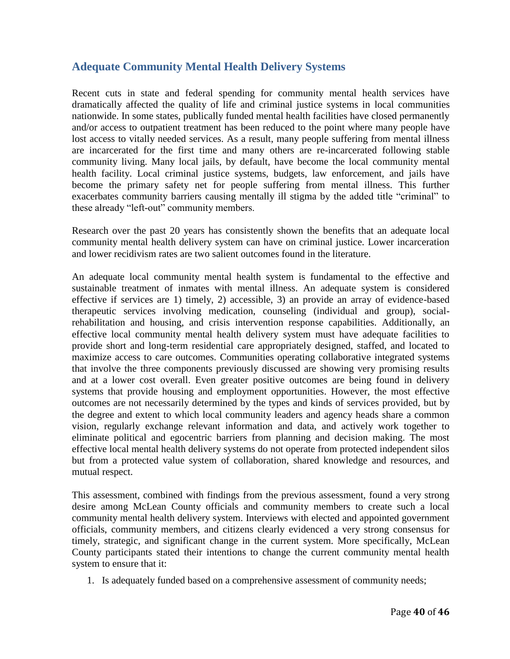## **Adequate Community Mental Health Delivery Systems**

Recent cuts in state and federal spending for community mental health services have dramatically affected the quality of life and criminal justice systems in local communities nationwide. In some states, publically funded mental health facilities have closed permanently and/or access to outpatient treatment has been reduced to the point where many people have lost access to vitally needed services. As a result, many people suffering from mental illness are incarcerated for the first time and many others are re-incarcerated following stable community living. Many local jails, by default, have become the local community mental health facility. Local criminal justice systems, budgets, law enforcement, and jails have become the primary safety net for people suffering from mental illness. This further exacerbates community barriers causing mentally ill stigma by the added title "criminal" to these already "left-out" community members.

Research over the past 20 years has consistently shown the benefits that an adequate local community mental health delivery system can have on criminal justice. Lower incarceration and lower recidivism rates are two salient outcomes found in the literature.

An adequate local community mental health system is fundamental to the effective and sustainable treatment of inmates with mental illness. An adequate system is considered effective if services are 1) timely, 2) accessible, 3) an provide an array of evidence-based therapeutic services involving medication, counseling (individual and group), socialrehabilitation and housing, and crisis intervention response capabilities. Additionally, an effective local community mental health delivery system must have adequate facilities to provide short and long-term residential care appropriately designed, staffed, and located to maximize access to care outcomes. Communities operating collaborative integrated systems that involve the three components previously discussed are showing very promising results and at a lower cost overall. Even greater positive outcomes are being found in delivery systems that provide housing and employment opportunities. However, the most effective outcomes are not necessarily determined by the types and kinds of services provided, but by the degree and extent to which local community leaders and agency heads share a common vision, regularly exchange relevant information and data, and actively work together to eliminate political and egocentric barriers from planning and decision making. The most effective local mental health delivery systems do not operate from protected independent silos but from a protected value system of collaboration, shared knowledge and resources, and mutual respect.

This assessment, combined with findings from the previous assessment, found a very strong desire among McLean County officials and community members to create such a local community mental health delivery system. Interviews with elected and appointed government officials, community members, and citizens clearly evidenced a very strong consensus for timely, strategic, and significant change in the current system. More specifically, McLean County participants stated their intentions to change the current community mental health system to ensure that it:

1. Is adequately funded based on a comprehensive assessment of community needs;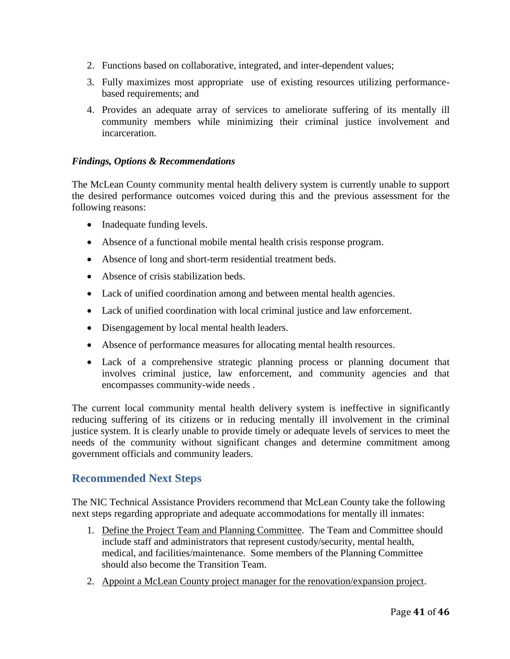- 2. Functions based on collaborative, integrated, and inter-dependent values;
- 3. Fully maximizes most appropriate use of existing resources utilizing performancebased requirements; and
- 4. Provides an adequate array of services to ameliorate suffering of its mentally ill community members while minimizing their criminal justice involvement and incarceration.

#### *Findings, Options & Recommendations*

The McLean County community mental health delivery system is currently unable to support the desired performance outcomes voiced during this and the previous assessment for the following reasons:

- Inadequate funding levels.
- Absence of a functional mobile mental health crisis response program.
- Absence of long and short-term residential treatment beds.
- Absence of crisis stabilization beds.
- Lack of unified coordination among and between mental health agencies.
- Lack of unified coordination with local criminal justice and law enforcement.
- Disengagement by local mental health leaders.
- Absence of performance measures for allocating mental health resources.
- Lack of a comprehensive strategic planning process or planning document that involves criminal justice, law enforcement, and community agencies and that encompasses community-wide needs .

The current local community mental health delivery system is ineffective in significantly reducing suffering of its citizens or in reducing mentally ill involvement in the criminal justice system. It is clearly unable to provide timely or adequate levels of services to meet the needs of the community without significant changes and determine commitment among government officials and community leaders.

#### **Recommended Next Steps**

The NIC Technical Assistance Providers recommend that McLean County take the following next steps regarding appropriate and adequate accommodations for mentally ill inmates:

- 1. Define the Project Team and Planning Committee. The Team and Committee should include staff and administrators that represent custody/security, mental health, medical, and facilities/maintenance. Some members of the Planning Committee should also become the Transition Team.
- 2. Appoint a McLean County project manager for the renovation/expansion project.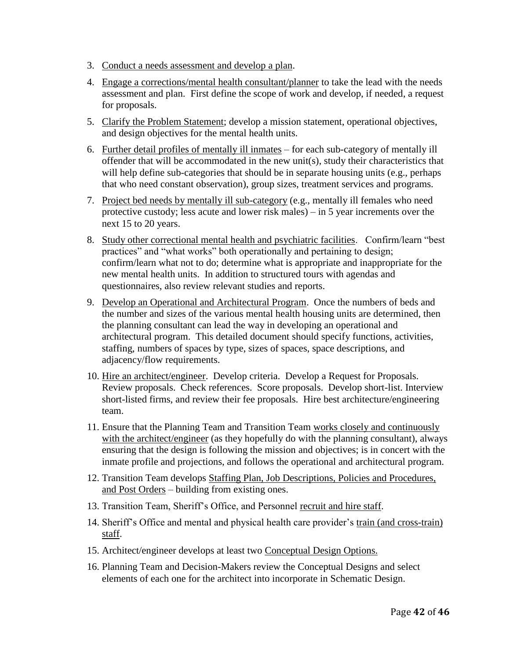- 3. Conduct a needs assessment and develop a plan.
- 4. Engage a corrections/mental health consultant/planner to take the lead with the needs assessment and plan. First define the scope of work and develop, if needed, a request for proposals.
- 5. Clarify the Problem Statement; develop a mission statement, operational objectives, and design objectives for the mental health units.
- 6. Further detail profiles of mentally ill inmates for each sub-category of mentally ill offender that will be accommodated in the new unit(s), study their characteristics that will help define sub-categories that should be in separate housing units (e.g., perhaps that who need constant observation), group sizes, treatment services and programs.
- 7. Project bed needs by mentally ill sub-category (e.g., mentally ill females who need protective custody; less acute and lower risk males) – in 5 year increments over the next 15 to 20 years.
- 8. Study other correctional mental health and psychiatric facilities. Confirm/learn "best practices" and "what works" both operationally and pertaining to design; confirm/learn what not to do; determine what is appropriate and inappropriate for the new mental health units. In addition to structured tours with agendas and questionnaires, also review relevant studies and reports.
- 9. Develop an Operational and Architectural Program. Once the numbers of beds and the number and sizes of the various mental health housing units are determined, then the planning consultant can lead the way in developing an operational and architectural program. This detailed document should specify functions, activities, staffing, numbers of spaces by type, sizes of spaces, space descriptions, and adjacency/flow requirements.
- 10. Hire an architect/engineer. Develop criteria. Develop a Request for Proposals. Review proposals. Check references. Score proposals. Develop short-list. Interview short-listed firms, and review their fee proposals. Hire best architecture/engineering team.
- 11. Ensure that the Planning Team and Transition Team works closely and continuously with the architect/engineer (as they hopefully do with the planning consultant), always ensuring that the design is following the mission and objectives; is in concert with the inmate profile and projections, and follows the operational and architectural program.
- 12. Transition Team develops Staffing Plan, Job Descriptions, Policies and Procedures, and Post Orders – building from existing ones.
- 13. Transition Team, Sheriff's Office, and Personnel recruit and hire staff.
- 14. Sheriff's Office and mental and physical health care provider's train (and cross-train) staff.
- 15. Architect/engineer develops at least two Conceptual Design Options.
- 16. Planning Team and Decision-Makers review the Conceptual Designs and select elements of each one for the architect into incorporate in Schematic Design.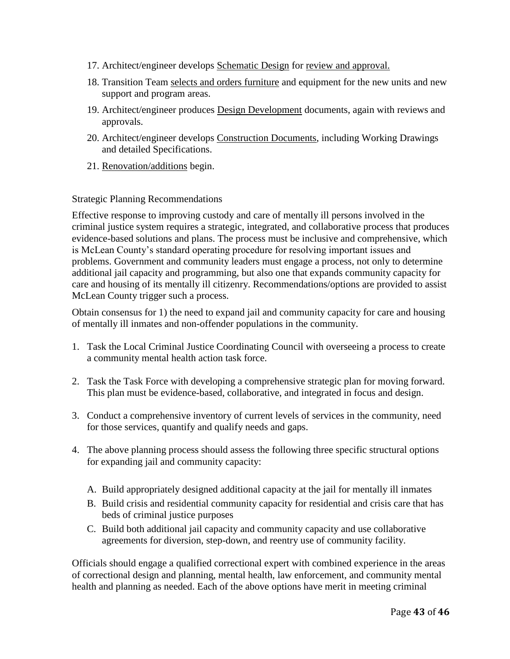- 17. Architect/engineer develops Schematic Design for review and approval.
- 18. Transition Team selects and orders furniture and equipment for the new units and new support and program areas.
- 19. Architect/engineer produces Design Development documents, again with reviews and approvals.
- 20. Architect/engineer develops Construction Documents, including Working Drawings and detailed Specifications.
- 21. Renovation/additions begin.

Strategic Planning Recommendations

Effective response to improving custody and care of mentally ill persons involved in the criminal justice system requires a strategic, integrated, and collaborative process that produces evidence-based solutions and plans. The process must be inclusive and comprehensive, which is McLean County's standard operating procedure for resolving important issues and problems. Government and community leaders must engage a process, not only to determine additional jail capacity and programming, but also one that expands community capacity for care and housing of its mentally ill citizenry. Recommendations/options are provided to assist McLean County trigger such a process.

Obtain consensus for 1) the need to expand jail and community capacity for care and housing of mentally ill inmates and non-offender populations in the community.

- 1. Task the Local Criminal Justice Coordinating Council with overseeing a process to create a community mental health action task force.
- 2. Task the Task Force with developing a comprehensive strategic plan for moving forward. This plan must be evidence-based, collaborative, and integrated in focus and design.
- 3. Conduct a comprehensive inventory of current levels of services in the community, need for those services, quantify and qualify needs and gaps.
- 4. The above planning process should assess the following three specific structural options for expanding jail and community capacity:
	- A. Build appropriately designed additional capacity at the jail for mentally ill inmates
	- B. Build crisis and residential community capacity for residential and crisis care that has beds of criminal justice purposes
	- C. Build both additional jail capacity and community capacity and use collaborative agreements for diversion, step-down, and reentry use of community facility.

Officials should engage a qualified correctional expert with combined experience in the areas of correctional design and planning, mental health, law enforcement, and community mental health and planning as needed. Each of the above options have merit in meeting criminal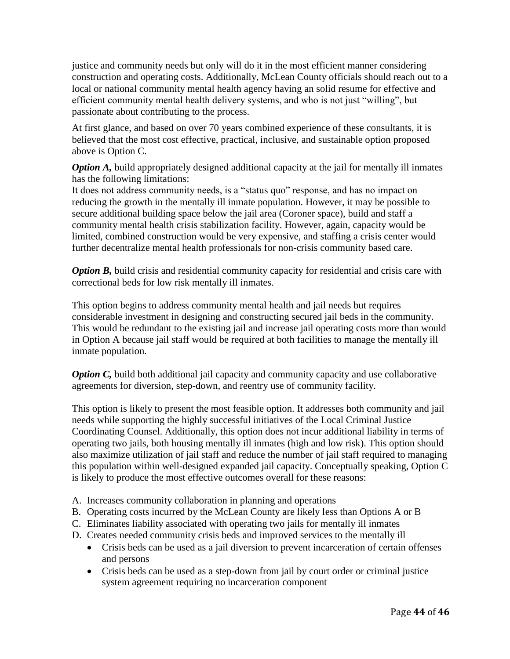justice and community needs but only will do it in the most efficient manner considering construction and operating costs. Additionally, McLean County officials should reach out to a local or national community mental health agency having an solid resume for effective and efficient community mental health delivery systems, and who is not just "willing", but passionate about contributing to the process.

At first glance, and based on over 70 years combined experience of these consultants, it is believed that the most cost effective, practical, inclusive, and sustainable option proposed above is Option C.

*Option A,* build appropriately designed additional capacity at the jail for mentally ill inmates has the following limitations:

It does not address community needs, is a "status quo" response, and has no impact on reducing the growth in the mentally ill inmate population. However, it may be possible to secure additional building space below the jail area (Coroner space), build and staff a community mental health crisis stabilization facility. However, again, capacity would be limited, combined construction would be very expensive, and staffing a crisis center would further decentralize mental health professionals for non-crisis community based care.

*Option B*, build crisis and residential community capacity for residential and crisis care with correctional beds for low risk mentally ill inmates.

This option begins to address community mental health and jail needs but requires considerable investment in designing and constructing secured jail beds in the community. This would be redundant to the existing jail and increase jail operating costs more than would in Option A because jail staff would be required at both facilities to manage the mentally ill inmate population.

*Option C*, build both additional jail capacity and community capacity and use collaborative agreements for diversion, step-down, and reentry use of community facility.

This option is likely to present the most feasible option. It addresses both community and jail needs while supporting the highly successful initiatives of the Local Criminal Justice Coordinating Counsel. Additionally, this option does not incur additional liability in terms of operating two jails, both housing mentally ill inmates (high and low risk). This option should also maximize utilization of jail staff and reduce the number of jail staff required to managing this population within well-designed expanded jail capacity. Conceptually speaking, Option C is likely to produce the most effective outcomes overall for these reasons:

- A. Increases community collaboration in planning and operations
- B. Operating costs incurred by the McLean County are likely less than Options A or B
- C. Eliminates liability associated with operating two jails for mentally ill inmates
- D. Creates needed community crisis beds and improved services to the mentally ill
	- Crisis beds can be used as a jail diversion to prevent incarceration of certain offenses and persons
	- Crisis beds can be used as a step-down from jail by court order or criminal justice system agreement requiring no incarceration component